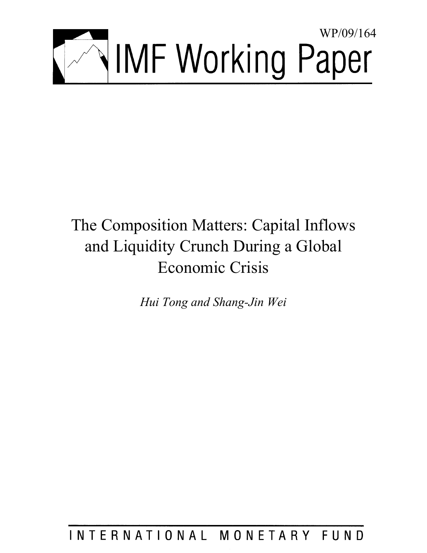

# The Composition Matters: Capital Inflows and Liquidity Crunch During a Global Economic Crisis

*Hui Tong and Shang-Jin Wei* 

## INTERNATIONAL MONETARY FUND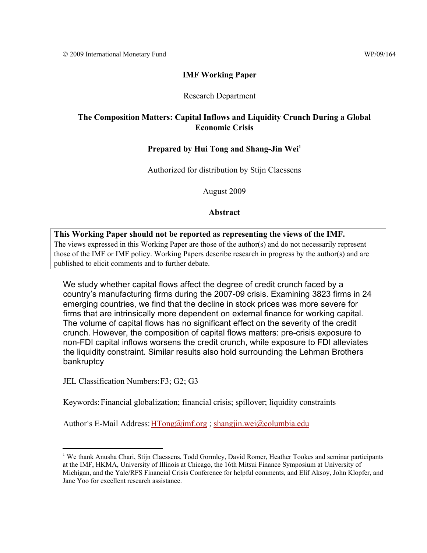## **IMF Working Paper**

#### Research Department

## **The Composition Matters: Capital Inflows and Liquidity Crunch During a Global Economic Crisis**

#### **Prepared by Hui Tong and Shang-Jin Wei1**

Authorized for distribution by Stijn Claessens

August 2009

#### **Abstract**

#### **This Working Paper should not be reported as representing the views of the IMF.** The views expressed in this Working Paper are those of the author(s) and do not necessarily represent those of the IMF or IMF policy. Working Papers describe research in progress by the author(s) and are published to elicit comments and to further debate.

We study whether capital flows affect the degree of credit crunch faced by a country's manufacturing firms during the 2007-09 crisis. Examining 3823 firms in 24 emerging countries, we find that the decline in stock prices was more severe for firms that are intrinsically more dependent on external finance for working capital. The volume of capital flows has no significant effect on the severity of the credit crunch. However, the composition of capital flows matters: pre-crisis exposure to non-FDI capital inflows worsens the credit crunch, while exposure to FDI alleviates the liquidity constraint. Similar results also hold surrounding the Lehman Brothers bankruptcy

JEL Classification Numbers: F3; G2; G3

Keywords: Financial globalization; financial crisis; spillover; liquidity constraints

Author's E-Mail Address: HTong@imf.org ; shangjin.wei@columbia.edu

 $\overline{a}$ <sup>1</sup> We thank Anusha Chari, Stijn Claessens, Todd Gormley, David Romer, Heather Tookes and seminar participants at the IMF, HKMA, University of Illinois at Chicago, the 16th Mitsui Finance Symposium at University of Michigan, and the Yale/RFS Financial Crisis Conference for helpful comments, and Elif Aksoy, John Klopfer, and Jane Yoo for excellent research assistance.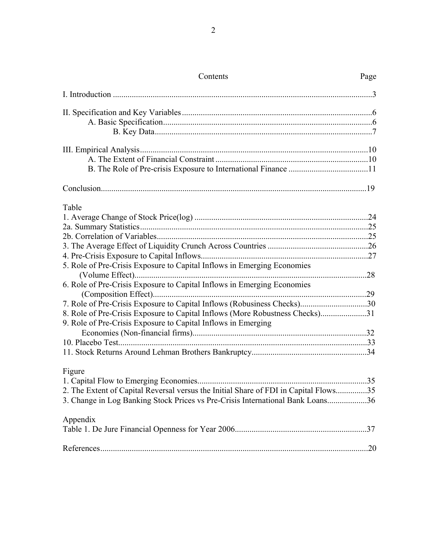| Contents                                                                             | Page |
|--------------------------------------------------------------------------------------|------|
|                                                                                      |      |
|                                                                                      |      |
|                                                                                      |      |
|                                                                                      |      |
|                                                                                      |      |
| Table                                                                                |      |
|                                                                                      |      |
|                                                                                      |      |
|                                                                                      |      |
|                                                                                      |      |
|                                                                                      |      |
| 5. Role of Pre-Crisis Exposure to Capital Inflows in Emerging Economies              |      |
|                                                                                      |      |
| 6. Role of Pre-Crisis Exposure to Capital Inflows in Emerging Economies              |      |
|                                                                                      |      |
|                                                                                      |      |
| 8. Role of Pre-Crisis Exposure to Capital Inflows (More Robustness Checks)31         |      |
| 9. Role of Pre-Crisis Exposure to Capital Inflows in Emerging                        |      |
|                                                                                      |      |
|                                                                                      |      |
|                                                                                      |      |
| Figure                                                                               |      |
| 2. The Extent of Capital Reversal versus the Initial Share of FDI in Capital Flows35 |      |
| 3. Change in Log Banking Stock Prices vs Pre-Crisis International Bank Loans36       |      |
|                                                                                      |      |
| Appendix                                                                             |      |
|                                                                                      |      |
|                                                                                      |      |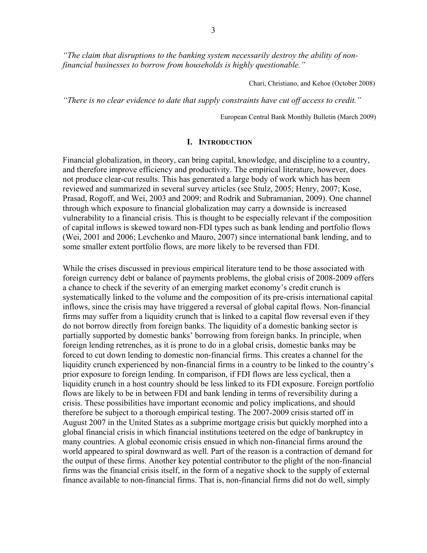*"The claim that disruptions to the banking system necessarily destroy the ability of nonfinancial businesses to borrow from households is highly questionable."* 

Chari, Christiano, and Kehoe (October 2008)

*"There is no clear evidence to date that supply constraints have cut off access to credit."* 

European Central Bank Monthly Bulletin (March 2009)

#### **I. INTRODUCTION**

Financial globalization, in theory, can bring capital, knowledge, and discipline to a country, and therefore improve efficiency and productivity. The empirical literature, however, does not produce clear-cut results. This has generated a large body of work which has been reviewed and summarized in several survey articles (see Stulz, 2005; Henry, 2007; Kose, Prasad, Rogoff, and Wei, 2003 and 2009; and Rodrik and Subramanian, 2009). One channel through which exposure to financial globalization may carry a downside is increased vulnerability to a financial crisis. This is thought to be especially relevant if the composition of capital inflows is skewed toward non-FDI types such as bank lending and portfolio flows (Wei, 2001 and 2006; Levchenko and Mauro, 2007) since international bank lending, and to some smaller extent portfolio flows, are more likely to be reversed than FDI.

While the crises discussed in previous empirical literature tend to be those associated with foreign currency debt or balance of payments problems, the global crisis of 2008-2009 offers a chance to check if the severity of an emerging market economy's credit crunch is systematically linked to the volume and the composition of its pre-crisis international capital inflows, since the crisis may have triggered a reversal of global capital flows. Non-financial firms may suffer from a liquidity crunch that is linked to a capital flow reversal even if they do not borrow directly from foreign banks. The liquidity of a domestic banking sector is partially supported by domestic banks' borrowing from foreign banks. In principle, when foreign lending retrenches, as it is prone to do in a global crisis, domestic banks may be forced to cut down lending to domestic non-financial firms. This creates a channel for the liquidity crunch experienced by non-financial firms in a country to be linked to the country's prior exposure to foreign lending. In comparison, if FDI flows are less cyclical, then a liquidity crunch in a host country should be less linked to its FDI exposure. Foreign portfolio flows are likely to be in between FDI and bank lending in terms of reversibility during a crisis. These possibilities have important economic and policy implications, and should therefore be subject to a thorough empirical testing. The 2007-2009 crisis started off in August 2007 in the United States as a subprime mortgage crisis but quickly morphed into a global financial crisis in which financial institutions teetered on the edge of bankruptcy in many countries. A global economic crisis ensued in which non-financial firms around the world appeared to spiral downward as well. Part of the reason is a contraction of demand for the output of these firms. Another key potential contributor to the plight of the non-financial firms was the financial crisis itself, in the form of a negative shock to the supply of external finance available to non-financial firms. That is, non-financial firms did not do well, simply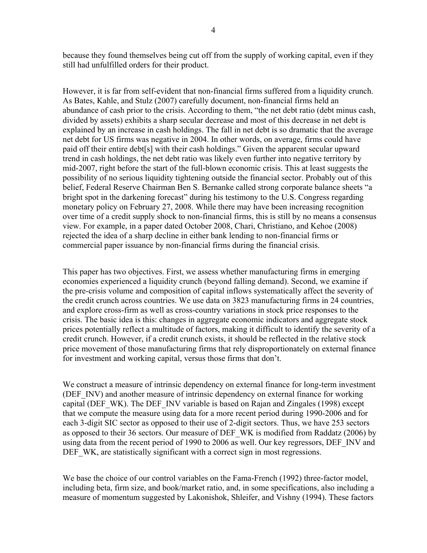because they found themselves being cut off from the supply of working capital, even if they still had unfulfilled orders for their product.

However, it is far from self-evident that non-financial firms suffered from a liquidity crunch. As Bates, Kahle, and Stulz (2007) carefully document, non-financial firms held an abundance of cash prior to the crisis. According to them, "the net debt ratio (debt minus cash, divided by assets) exhibits a sharp secular decrease and most of this decrease in net debt is explained by an increase in cash holdings. The fall in net debt is so dramatic that the average net debt for US firms was negative in 2004. In other words, on average, firms could have paid off their entire debt[s] with their cash holdings." Given the apparent secular upward trend in cash holdings, the net debt ratio was likely even further into negative territory by mid-2007, right before the start of the full-blown economic crisis. This at least suggests the possibility of no serious liquidity tightening outside the financial sector. Probably out of this belief, Federal Reserve Chairman Ben S. Bernanke called strong corporate balance sheets "a bright spot in the darkening forecast" during his testimony to the U.S. Congress regarding monetary policy on February 27, 2008. While there may have been increasing recognition over time of a credit supply shock to non-financial firms, this is still by no means a consensus view. For example, in a paper dated October 2008, Chari, Christiano, and Kehoe (2008) rejected the idea of a sharp decline in either bank lending to non-financial firms or commercial paper issuance by non-financial firms during the financial crisis.

This paper has two objectives. First, we assess whether manufacturing firms in emerging economies experienced a liquidity crunch (beyond falling demand). Second, we examine if the pre-crisis volume and composition of capital inflows systematically affect the severity of the credit crunch across countries. We use data on 3823 manufacturing firms in 24 countries, and explore cross-firm as well as cross-country variations in stock price responses to the crisis. The basic idea is this: changes in aggregate economic indicators and aggregate stock prices potentially reflect a multitude of factors, making it difficult to identify the severity of a credit crunch. However, if a credit crunch exists, it should be reflected in the relative stock price movement of those manufacturing firms that rely disproportionately on external finance for investment and working capital, versus those firms that don't.

We construct a measure of intrinsic dependency on external finance for long-term investment (DEF\_INV) and another measure of intrinsic dependency on external finance for working capital (DEF\_WK). The DEF\_INV variable is based on Rajan and Zingales (1998) except that we compute the measure using data for a more recent period during 1990-2006 and for each 3-digit SIC sector as opposed to their use of 2-digit sectors. Thus, we have 253 sectors as opposed to their 36 sectors. Our measure of DEF\_WK is modified from Raddatz (2006) by using data from the recent period of 1990 to 2006 as well. Our key regressors, DEF INV and DEF WK, are statistically significant with a correct sign in most regressions.

We base the choice of our control variables on the Fama-French (1992) three-factor model, including beta, firm size, and book/market ratio, and, in some specifications, also including a measure of momentum suggested by Lakonishok, Shleifer, and Vishny (1994). These factors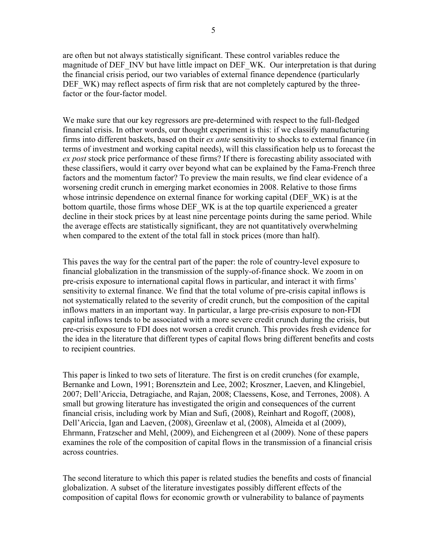are often but not always statistically significant. These control variables reduce the magnitude of DEF\_INV but have little impact on DEF\_WK. Our interpretation is that during the financial crisis period, our two variables of external finance dependence (particularly DEF WK) may reflect aspects of firm risk that are not completely captured by the threefactor or the four-factor model.

We make sure that our key regressors are pre-determined with respect to the full-fledged financial crisis. In other words, our thought experiment is this: if we classify manufacturing firms into different baskets, based on their *ex ante* sensitivity to shocks to external finance (in terms of investment and working capital needs), will this classification help us to forecast the *ex post* stock price performance of these firms? If there is forecasting ability associated with these classifiers, would it carry over beyond what can be explained by the Fama-French three factors and the momentum factor? To preview the main results, we find clear evidence of a worsening credit crunch in emerging market economies in 2008. Relative to those firms whose intrinsic dependence on external finance for working capital (DEF WK) is at the bottom quartile, those firms whose DEF WK is at the top quartile experienced a greater decline in their stock prices by at least nine percentage points during the same period. While the average effects are statistically significant, they are not quantitatively overwhelming when compared to the extent of the total fall in stock prices (more than half).

This paves the way for the central part of the paper: the role of country-level exposure to financial globalization in the transmission of the supply-of-finance shock. We zoom in on pre-crisis exposure to international capital flows in particular, and interact it with firms' sensitivity to external finance. We find that the total volume of pre-crisis capital inflows is not systematically related to the severity of credit crunch, but the composition of the capital inflows matters in an important way. In particular, a large pre-crisis exposure to non-FDI capital inflows tends to be associated with a more severe credit crunch during the crisis, but pre-crisis exposure to FDI does not worsen a credit crunch. This provides fresh evidence for the idea in the literature that different types of capital flows bring different benefits and costs to recipient countries.

This paper is linked to two sets of literature. The first is on credit crunches (for example, Bernanke and Lown, 1991; Borensztein and Lee, 2002; Kroszner, Laeven, and Klingebiel, 2007; Dell'Ariccia, Detragiache, and Rajan, 2008; Claessens, Kose, and Terrones, 2008). A small but growing literature has investigated the origin and consequences of the current financial crisis, including work by Mian and Sufi, (2008), Reinhart and Rogoff, (2008), Dell'Ariccia, Igan and Laeven, (2008), Greenlaw et al, (2008), Almeida et al (2009), Ehrmann, Fratzscher and Mehl, (2009), and Eichengreen et al (2009). None of these papers examines the role of the composition of capital flows in the transmission of a financial crisis across countries.

The second literature to which this paper is related studies the benefits and costs of financial globalization. A subset of the literature investigates possibly different effects of the composition of capital flows for economic growth or vulnerability to balance of payments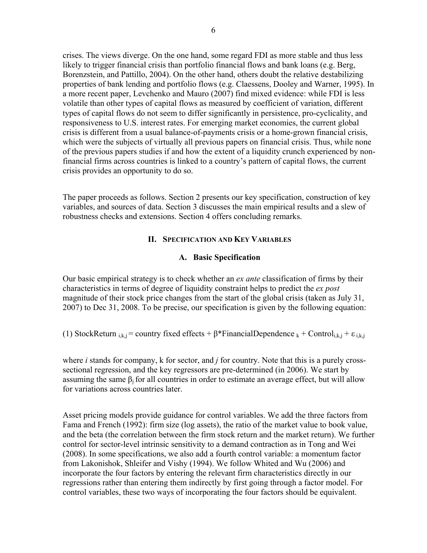crises. The views diverge. On the one hand, some regard FDI as more stable and thus less likely to trigger financial crisis than portfolio financial flows and bank loans (e.g. Berg, Borenzstein, and Pattillo, 2004). On the other hand, others doubt the relative destabilizing properties of bank lending and portfolio flows (e.g. Claessens, Dooley and Warner, 1995). In a more recent paper, Levchenko and Mauro (2007) find mixed evidence: while FDI is less volatile than other types of capital flows as measured by coefficient of variation, different types of capital flows do not seem to differ significantly in persistence, pro-cyclicality, and responsiveness to U.S. interest rates. For emerging market economies, the current global crisis is different from a usual balance-of-payments crisis or a home-grown financial crisis, which were the subjects of virtually all previous papers on financial crisis. Thus, while none of the previous papers studies if and how the extent of a liquidity crunch experienced by nonfinancial firms across countries is linked to a country's pattern of capital flows, the current crisis provides an opportunity to do so.

The paper proceeds as follows. Section 2 presents our key specification, construction of key variables, and sources of data. Section 3 discusses the main empirical results and a slew of robustness checks and extensions. Section 4 offers concluding remarks.

#### **II. SPECIFICATION AND KEY VARIABLES**

#### **A. Basic Specification**

Our basic empirical strategy is to check whether an *ex ante* classification of firms by their characteristics in terms of degree of liquidity constraint helps to predict the *ex post* magnitude of their stock price changes from the start of the global crisis (taken as July 31, 2007) to Dec 31, 2008. To be precise, our specification is given by the following equation:

(1) StockReturn  $_{i,k,j}$  = country fixed effects + β\*FinancialDependence  $_{k}$  + Control<sub>i,k,j</sub> +  $\varepsilon$ <sub>i,k,j</sub>

where *i* stands for company, k for sector, and *j* for country. Note that this is a purely crosssectional regression, and the key regressors are pre-determined (in 2006). We start by assuming the same  $\beta_i$  for all countries in order to estimate an average effect, but will allow for variations across countries later.

Asset pricing models provide guidance for control variables. We add the three factors from Fama and French (1992): firm size (log assets), the ratio of the market value to book value, and the beta (the correlation between the firm stock return and the market return). We further control for sector-level intrinsic sensitivity to a demand contraction as in Tong and Wei (2008). In some specifications, we also add a fourth control variable: a momentum factor from Lakonishok, Shleifer and Vishy (1994). We follow Whited and Wu (2006) and incorporate the four factors by entering the relevant firm characteristics directly in our regressions rather than entering them indirectly by first going through a factor model. For control variables, these two ways of incorporating the four factors should be equivalent.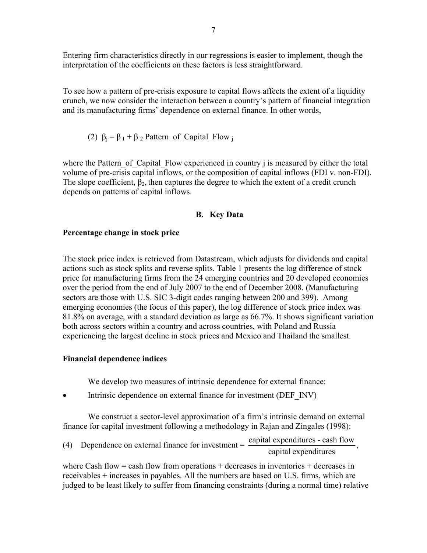Entering firm characteristics directly in our regressions is easier to implement, though the interpretation of the coefficients on these factors is less straightforward.

To see how a pattern of pre-crisis exposure to capital flows affects the extent of a liquidity crunch, we now consider the interaction between a country's pattern of financial integration and its manufacturing firms' dependence on external finance. In other words,

(2) 
$$
\beta_j = \beta_1 + \beta_2
$$
 Pattern\_of\_Capital\_Flow<sub>j</sub>

where the Pattern of Capital Flow experienced in country j is measured by either the total volume of pre-crisis capital inflows, or the composition of capital inflows (FDI v. non-FDI). The slope coefficient,  $\beta_2$ , then captures the degree to which the extent of a credit crunch depends on patterns of capital inflows.

#### **B. Key Data**

#### **Percentage change in stock price**

The stock price index is retrieved from Datastream, which adjusts for dividends and capital actions such as stock splits and reverse splits. Table 1 presents the log difference of stock price for manufacturing firms from the 24 emerging countries and 20 developed economies over the period from the end of July 2007 to the end of December 2008. (Manufacturing sectors are those with U.S. SIC 3-digit codes ranging between 200 and 399). Among emerging economies (the focus of this paper), the log difference of stock price index was 81.8% on average, with a standard deviation as large as 66.7%. It shows significant variation both across sectors within a country and across countries, with Poland and Russia experiencing the largest decline in stock prices and Mexico and Thailand the smallest.

#### **Financial dependence indices**

We develop two measures of intrinsic dependence for external finance:

• Intrinsic dependence on external finance for investment (DEF\_INV)

We construct a sector-level approximation of a firm's intrinsic demand on external finance for capital investment following a methodology in Rajan and Zingales (1998):

(4) Dependence on external finance for investment =  $\frac{\text{capital expenditures - cash flow}}{\text{capital expenditures}}$ ,

where Cash flow  $=$  cash flow from operations  $+$  decreases in inventories  $+$  decreases in receivables + increases in payables. All the numbers are based on U.S. firms, which are judged to be least likely to suffer from financing constraints (during a normal time) relative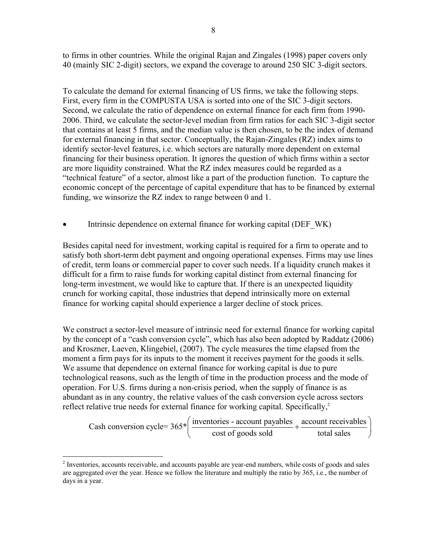to firms in other countries. While the original Rajan and Zingales (1998) paper covers only 40 (mainly SIC 2-digit) sectors, we expand the coverage to around 250 SIC 3-digit sectors.

To calculate the demand for external financing of US firms, we take the following steps. First, every firm in the COMPUSTA USA is sorted into one of the SIC 3-digit sectors. Second, we calculate the ratio of dependence on external finance for each firm from 1990- 2006. Third, we calculate the sector-level median from firm ratios for each SIC 3-digit sector that contains at least 5 firms, and the median value is then chosen, to be the index of demand for external financing in that sector. Conceptually, the Rajan-Zingales (RZ) index aims to identify sector-level features, i.e. which sectors are naturally more dependent on external financing for their business operation. It ignores the question of which firms within a sector are more liquidity constrained. What the RZ index measures could be regarded as a "technical feature" of a sector, almost like a part of the production function. To capture the economic concept of the percentage of capital expenditure that has to be financed by external funding, we winsorize the RZ index to range between 0 and 1.

Intrinsic dependence on external finance for working capital (DEF\_WK)

Besides capital need for investment, working capital is required for a firm to operate and to satisfy both short-term debt payment and ongoing operational expenses. Firms may use lines of credit, term loans or commercial paper to cover such needs. If a liquidity crunch makes it difficult for a firm to raise funds for working capital distinct from external financing for long-term investment, we would like to capture that. If there is an unexpected liquidity crunch for working capital, those industries that depend intrinsically more on external finance for working capital should experience a larger decline of stock prices.

We construct a sector-level measure of intrinsic need for external finance for working capital by the concept of a "cash conversion cycle", which has also been adopted by Raddatz (2006) and Kroszner, Laeven, Klingebiel, (2007). The cycle measures the time elapsed from the moment a firm pays for its inputs to the moment it receives payment for the goods it sells. We assume that dependence on external finance for working capital is due to pure technological reasons, such as the length of time in the production process and the mode of operation. For U.S. firms during a non-crisis period, when the supply of finance is as abundant as in any country, the relative values of the cash conversion cycle across sectors reflect relative true needs for external finance for working capital. Specifically,<sup>2</sup>

Cash conversion cycle = 
$$
365 \times \left( \frac{\text{inventories - account payables}}{\text{cost of goods sold}} + \frac{\text{account receivables}}{\text{total sales}} \right)
$$

<u>.</u>

 $2$  Inventories, accounts receivable, and accounts payable are year-end numbers, while costs of goods and sales are aggregated over the year. Hence we follow the literature and multiply the ratio by 365, i.e., the number of days in a year.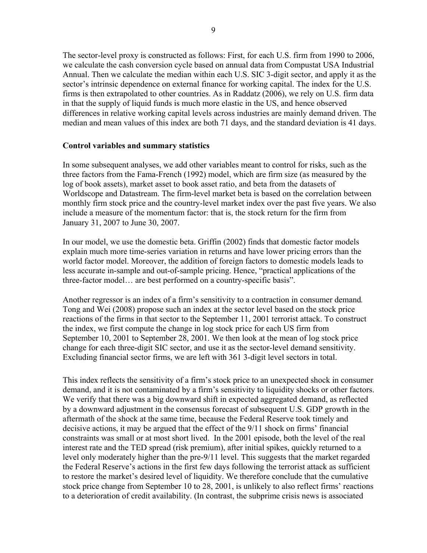The sector-level proxy is constructed as follows: First, for each U.S. firm from 1990 to 2006, we calculate the cash conversion cycle based on annual data from Compustat USA Industrial Annual. Then we calculate the median within each U.S. SIC 3-digit sector, and apply it as the sector's intrinsic dependence on external finance for working capital. The index for the U.S. firms is then extrapolated to other countries. As in Raddatz (2006), we rely on U.S. firm data in that the supply of liquid funds is much more elastic in the US, and hence observed differences in relative working capital levels across industries are mainly demand driven. The median and mean values of this index are both 71 days, and the standard deviation is 41 days.

#### **Control variables and summary statistics**

In some subsequent analyses, we add other variables meant to control for risks, such as the three factors from the Fama-French (1992) model, which are firm size (as measured by the log of book assets), market asset to book asset ratio, and beta from the datasets of Worldscope and Datastream. The firm-level market beta is based on the correlation between monthly firm stock price and the country-level market index over the past five years. We also include a measure of the momentum factor: that is, the stock return for the firm from January 31, 2007 to June 30, 2007.

In our model, we use the domestic beta. Griffin (2002) finds that domestic factor models explain much more time-series variation in returns and have lower pricing errors than the world factor model. Moreover, the addition of foreign factors to domestic models leads to less accurate in-sample and out-of-sample pricing. Hence, "practical applications of the three-factor model… are best performed on a country-specific basis".

Another regressor is an index of a firm's sensitivity to a contraction in consumer demand*.* Tong and Wei (2008) propose such an index at the sector level based on the stock price reactions of the firms in that sector to the September 11, 2001 terrorist attack. To construct the index, we first compute the change in log stock price for each US firm from September 10, 2001 to September 28, 2001. We then look at the mean of log stock price change for each three-digit SIC sector, and use it as the sector-level demand sensitivity. Excluding financial sector firms, we are left with 361 3-digit level sectors in total.

This index reflects the sensitivity of a firm's stock price to an unexpected shock in consumer demand, and it is not contaminated by a firm's sensitivity to liquidity shocks or other factors. We verify that there was a big downward shift in expected aggregated demand, as reflected by a downward adjustment in the consensus forecast of subsequent U.S. GDP growth in the aftermath of the shock at the same time, because the Federal Reserve took timely and decisive actions, it may be argued that the effect of the 9/11 shock on firms' financial constraints was small or at most short lived. In the 2001 episode, both the level of the real interest rate and the TED spread (risk premium), after initial spikes, quickly returned to a level only moderately higher than the pre-9/11 level. This suggests that the market regarded the Federal Reserve's actions in the first few days following the terrorist attack as sufficient to restore the market's desired level of liquidity. We therefore conclude that the cumulative stock price change from September 10 to 28, 2001, is unlikely to also reflect firms' reactions to a deterioration of credit availability. (In contrast, the subprime crisis news is associated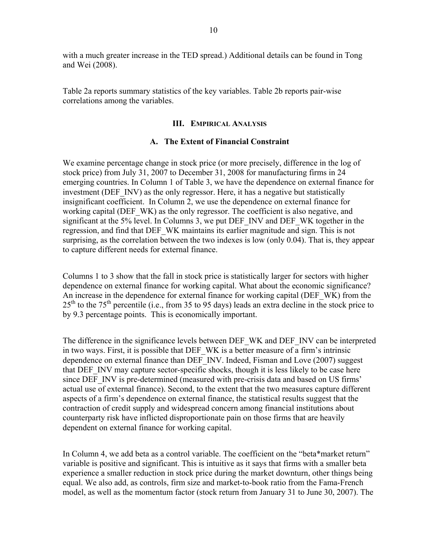with a much greater increase in the TED spread.) Additional details can be found in Tong and Wei (2008).

Table 2a reports summary statistics of the key variables. Table 2b reports pair-wise correlations among the variables.

#### **III. EMPIRICAL ANALYSIS**

#### **A. The Extent of Financial Constraint**

We examine percentage change in stock price (or more precisely, difference in the log of stock price) from July 31, 2007 to December 31, 2008 for manufacturing firms in 24 emerging countries. In Column 1 of Table 3, we have the dependence on external finance for investment (DEF\_INV) as the only regressor. Here, it has a negative but statistically insignificant coefficient. In Column 2, we use the dependence on external finance for working capital (DEF WK) as the only regressor. The coefficient is also negative, and significant at the 5% level. In Columns 3, we put DEF\_INV and DEF\_WK together in the regression, and find that DEF\_WK maintains its earlier magnitude and sign. This is not surprising, as the correlation between the two indexes is low (only 0.04). That is, they appear to capture different needs for external finance.

Columns 1 to 3 show that the fall in stock price is statistically larger for sectors with higher dependence on external finance for working capital. What about the economic significance? An increase in the dependence for external finance for working capital (DEF\_WK) from the  $25<sup>th</sup>$  to the 75<sup>th</sup> percentile (i.e., from 35 to 95 days) leads an extra decline in the stock price to by 9.3 percentage points. This is economically important.

The difference in the significance levels between DEF\_WK and DEF\_INV can be interpreted in two ways. First, it is possible that DEF\_WK is a better measure of a firm's intrinsic dependence on external finance than DEF\_INV. Indeed, Fisman and Love (2007) suggest that DEF\_INV may capture sector-specific shocks, though it is less likely to be case here since DEF\_INV is pre-determined (measured with pre-crisis data and based on US firms' actual use of external finance). Second, to the extent that the two measures capture different aspects of a firm's dependence on external finance, the statistical results suggest that the contraction of credit supply and widespread concern among financial institutions about counterparty risk have inflicted disproportionate pain on those firms that are heavily dependent on external finance for working capital.

In Column 4, we add beta as a control variable. The coefficient on the "beta\*market return" variable is positive and significant. This is intuitive as it says that firms with a smaller beta experience a smaller reduction in stock price during the market downturn, other things being equal. We also add, as controls, firm size and market-to-book ratio from the Fama-French model, as well as the momentum factor (stock return from January 31 to June 30, 2007). The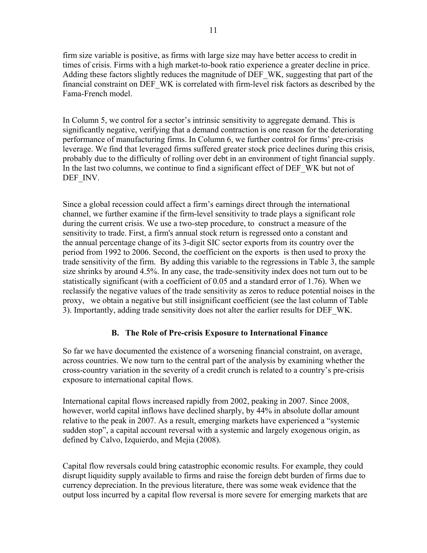firm size variable is positive, as firms with large size may have better access to credit in times of crisis. Firms with a high market-to-book ratio experience a greater decline in price. Adding these factors slightly reduces the magnitude of DEF WK, suggesting that part of the financial constraint on DEF\_WK is correlated with firm-level risk factors as described by the Fama-French model.

In Column 5, we control for a sector's intrinsic sensitivity to aggregate demand. This is significantly negative, verifying that a demand contraction is one reason for the deteriorating performance of manufacturing firms. In Column 6, we further control for firms' pre-crisis leverage. We find that leveraged firms suffered greater stock price declines during this crisis, probably due to the difficulty of rolling over debt in an environment of tight financial supply. In the last two columns, we continue to find a significant effect of DEF\_WK but not of DEF\_INV.

Since a global recession could affect a firm's earnings direct through the international channel, we further examine if the firm-level sensitivity to trade plays a significant role during the current crisis. We use a two-step procedure, to construct a measure of the sensitivity to trade. First, a firm's annual stock return is regressed onto a constant and the annual percentage change of its 3-digit SIC sector exports from its country over the period from 1992 to 2006. Second, the coefficient on the exports is then used to proxy the trade sensitivity of the firm. By adding this variable to the regressions in Table 3, the sample size shrinks by around 4.5%. In any case, the trade-sensitivity index does not turn out to be statistically significant (with a coefficient of 0.05 and a standard error of 1.76). When we reclassify the negative values of the trade sensitivity as zeros to reduce potential noises in the proxy, we obtain a negative but still insignificant coefficient (see the last column of Table 3). Importantly, adding trade sensitivity does not alter the earlier results for DEF\_WK.

#### **B. The Role of Pre-crisis Exposure to International Finance**

So far we have documented the existence of a worsening financial constraint, on average, across countries. We now turn to the central part of the analysis by examining whether the cross-country variation in the severity of a credit crunch is related to a country's pre-crisis exposure to international capital flows.

International capital flows increased rapidly from 2002, peaking in 2007. Since 2008, however, world capital inflows have declined sharply, by 44% in absolute dollar amount relative to the peak in 2007. As a result, emerging markets have experienced a "systemic sudden stop", a capital account reversal with a systemic and largely exogenous origin, as defined by Calvo, Izquierdo, and Mejia (2008).

Capital flow reversals could bring catastrophic economic results. For example, they could disrupt liquidity supply available to firms and raise the foreign debt burden of firms due to currency depreciation. In the previous literature, there was some weak evidence that the output loss incurred by a capital flow reversal is more severe for emerging markets that are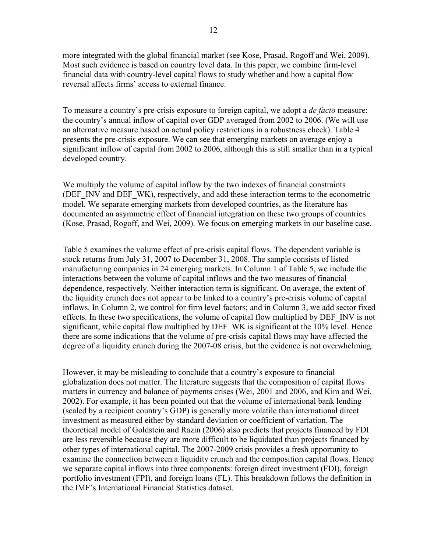more integrated with the global financial market (see Kose, Prasad, Rogoff and Wei, 2009). Most such evidence is based on country level data. In this paper, we combine firm-level financial data with country-level capital flows to study whether and how a capital flow reversal affects firms' access to external finance.

To measure a country's pre-crisis exposure to foreign capital, we adopt a *de facto* measure: the country's annual inflow of capital over GDP averaged from 2002 to 2006. (We will use an alternative measure based on actual policy restrictions in a robustness check). Table 4 presents the pre-crisis exposure. We can see that emerging markets on average enjoy a significant inflow of capital from 2002 to 2006, although this is still smaller than in a typical developed country.

We multiply the volume of capital inflow by the two indexes of financial constraints (DEF\_INV and DEF\_WK), respectively, and add these interaction terms to the econometric model. We separate emerging markets from developed countries, as the literature has documented an asymmetric effect of financial integration on these two groups of countries (Kose, Prasad, Rogoff, and Wei, 2009). We focus on emerging markets in our baseline case.

Table 5 examines the volume effect of pre-crisis capital flows. The dependent variable is stock returns from July 31, 2007 to December 31, 2008. The sample consists of listed manufacturing companies in 24 emerging markets. In Column 1 of Table 5, we include the interactions between the volume of capital inflows and the two measures of financial dependence, respectively. Neither interaction term is significant. On average, the extent of the liquidity crunch does not appear to be linked to a country's pre-crisis volume of capital inflows. In Column 2, we control for firm level factors; and in Column 3, we add sector fixed effects. In these two specifications, the volume of capital flow multiplied by DEF\_INV is not significant, while capital flow multiplied by DEF WK is significant at the 10% level. Hence there are some indications that the volume of pre-crisis capital flows may have affected the degree of a liquidity crunch during the 2007-08 crisis, but the evidence is not overwhelming.

However, it may be misleading to conclude that a country's exposure to financial globalization does not matter. The literature suggests that the composition of capital flows matters in currency and balance of payments crises (Wei, 2001 and 2006, and Kim and Wei, 2002). For example, it has been pointed out that the volume of international bank lending (scaled by a recipient country's GDP) is generally more volatile than international direct investment as measured either by standard deviation or coefficient of variation. The theoretical model of Goldstein and Razin (2006) also predicts that projects financed by FDI are less reversible because they are more difficult to be liquidated than projects financed by other types of international capital. The 2007-2009 crisis provides a fresh opportunity to examine the connection between a liquidity crunch and the composition capital flows. Hence we separate capital inflows into three components: foreign direct investment (FDI), foreign portfolio investment (FPI), and foreign loans (FL). This breakdown follows the definition in the IMF's International Financial Statistics dataset.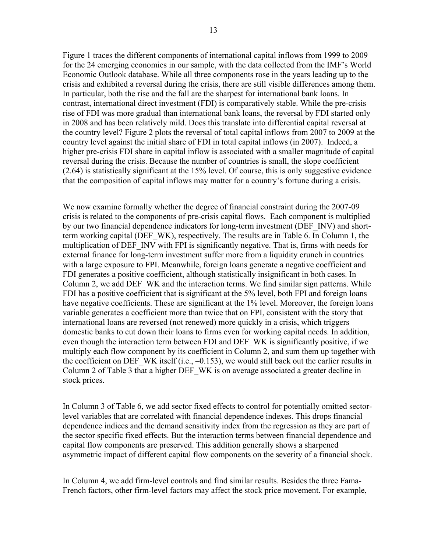Figure 1 traces the different components of international capital inflows from 1999 to 2009 for the 24 emerging economies in our sample, with the data collected from the IMF's World Economic Outlook database. While all three components rose in the years leading up to the crisis and exhibited a reversal during the crisis, there are still visible differences among them. In particular, both the rise and the fall are the sharpest for international bank loans. In contrast, international direct investment (FDI) is comparatively stable. While the pre-crisis rise of FDI was more gradual than international bank loans, the reversal by FDI started only in 2008 and has been relatively mild. Does this translate into differential capital reversal at the country level? Figure 2 plots the reversal of total capital inflows from 2007 to 2009 at the country level against the initial share of FDI in total capital inflows (in 2007). Indeed, a higher pre-crisis FDI share in capital inflow is associated with a smaller magnitude of capital reversal during the crisis. Because the number of countries is small, the slope coefficient (2.64) is statistically significant at the 15% level. Of course, this is only suggestive evidence that the composition of capital inflows may matter for a country's fortune during a crisis.

We now examine formally whether the degree of financial constraint during the 2007-09 crisis is related to the components of pre-crisis capital flows. Each component is multiplied by our two financial dependence indicators for long-term investment (DEF\_INV) and shortterm working capital (DEF\_WK), respectively. The results are in Table 6. In Column 1, the multiplication of DEF INV with FPI is significantly negative. That is, firms with needs for external finance for long-term investment suffer more from a liquidity crunch in countries with a large exposure to FPI. Meanwhile, foreign loans generate a negative coefficient and FDI generates a positive coefficient, although statistically insignificant in both cases. In Column 2, we add DEF\_WK and the interaction terms. We find similar sign patterns. While FDI has a positive coefficient that is significant at the 5% level, both FPI and foreign loans have negative coefficients. These are significant at the 1% level. Moreover, the foreign loans variable generates a coefficient more than twice that on FPI, consistent with the story that international loans are reversed (not renewed) more quickly in a crisis, which triggers domestic banks to cut down their loans to firms even for working capital needs. In addition, even though the interaction term between FDI and DEF WK is significantly positive, if we multiply each flow component by its coefficient in Column 2, and sum them up together with the coefficient on DEF\_WK itself (i.e.,  $-0.153$ ), we would still back out the earlier results in Column 2 of Table 3 that a higher DEF\_WK is on average associated a greater decline in stock prices.

In Column 3 of Table 6, we add sector fixed effects to control for potentially omitted sectorlevel variables that are correlated with financial dependence indexes. This drops financial dependence indices and the demand sensitivity index from the regression as they are part of the sector specific fixed effects. But the interaction terms between financial dependence and capital flow components are preserved. This addition generally shows a sharpened asymmetric impact of different capital flow components on the severity of a financial shock.

In Column 4, we add firm-level controls and find similar results. Besides the three Fama-French factors, other firm-level factors may affect the stock price movement. For example,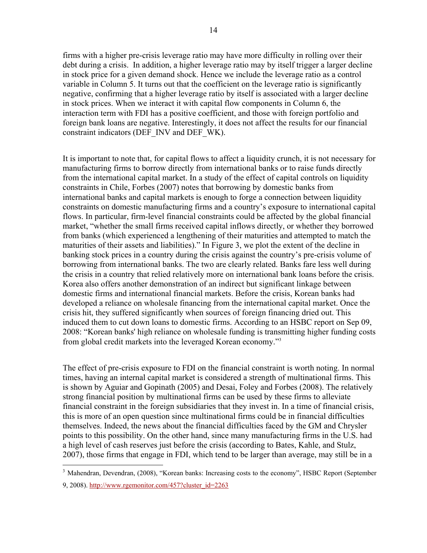firms with a higher pre-crisis leverage ratio may have more difficulty in rolling over their debt during a crisis. In addition, a higher leverage ratio may by itself trigger a larger decline in stock price for a given demand shock. Hence we include the leverage ratio as a control variable in Column 5. It turns out that the coefficient on the leverage ratio is significantly negative, confirming that a higher leverage ratio by itself is associated with a larger decline in stock prices. When we interact it with capital flow components in Column 6, the interaction term with FDI has a positive coefficient, and those with foreign portfolio and foreign bank loans are negative. Interestingly, it does not affect the results for our financial constraint indicators (DEF\_INV and DEF\_WK).

It is important to note that, for capital flows to affect a liquidity crunch, it is not necessary for manufacturing firms to borrow directly from international banks or to raise funds directly from the international capital market. In a study of the effect of capital controls on liquidity constraints in Chile, Forbes (2007) notes that borrowing by domestic banks from international banks and capital markets is enough to forge a connection between liquidity constraints on domestic manufacturing firms and a country's exposure to international capital flows. In particular, firm-level financial constraints could be affected by the global financial market, "whether the small firms received capital inflows directly, or whether they borrowed from banks (which experienced a lengthening of their maturities and attempted to match the maturities of their assets and liabilities)." In Figure 3, we plot the extent of the decline in banking stock prices in a country during the crisis against the country's pre-crisis volume of borrowing from international banks. The two are clearly related. Banks fare less well during the crisis in a country that relied relatively more on international bank loans before the crisis. Korea also offers another demonstration of an indirect but significant linkage between domestic firms and international financial markets. Before the crisis, Korean banks had developed a reliance on wholesale financing from the international capital market. Once the crisis hit, they suffered significantly when sources of foreign financing dried out. This induced them to cut down loans to domestic firms. According to an HSBC report on Sep 09, 2008: "Korean banks' high reliance on wholesale funding is transmitting higher funding costs from global credit markets into the leveraged Korean economy."3

The effect of pre-crisis exposure to FDI on the financial constraint is worth noting. In normal times, having an internal capital market is considered a strength of multinational firms. This is shown by Aguiar and Gopinath (2005) and Desai, Foley and Forbes (2008). The relatively strong financial position by multinational firms can be used by these firms to alleviate financial constraint in the foreign subsidiaries that they invest in. In a time of financial crisis, this is more of an open question since multinational firms could be in financial difficulties themselves. Indeed, the news about the financial difficulties faced by the GM and Chrysler points to this possibility. On the other hand, since many manufacturing firms in the U.S. had a high level of cash reserves just before the crisis (according to Bates, Kahle, and Stulz, 2007), those firms that engage in FDI, which tend to be larger than average, may still be in a

<sup>3</sup> Mahendran, Devendran, (2008), "Korean banks: Increasing costs to the economy", HSBC Report (September 9, 2008). http://www.rgemonitor.com/457?cluster\_id=2263

 $\overline{a}$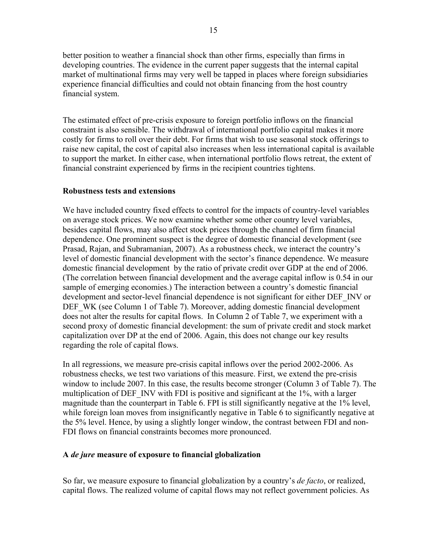better position to weather a financial shock than other firms, especially than firms in developing countries. The evidence in the current paper suggests that the internal capital market of multinational firms may very well be tapped in places where foreign subsidiaries experience financial difficulties and could not obtain financing from the host country financial system.

The estimated effect of pre-crisis exposure to foreign portfolio inflows on the financial constraint is also sensible. The withdrawal of international portfolio capital makes it more costly for firms to roll over their debt. For firms that wish to use seasonal stock offerings to raise new capital, the cost of capital also increases when less international capital is available to support the market. In either case, when international portfolio flows retreat, the extent of financial constraint experienced by firms in the recipient countries tightens.

#### **Robustness tests and extensions**

We have included country fixed effects to control for the impacts of country-level variables on average stock prices. We now examine whether some other country level variables, besides capital flows, may also affect stock prices through the channel of firm financial dependence. One prominent suspect is the degree of domestic financial development (see Prasad, Rajan, and Subramanian, 2007). As a robustness check, we interact the country's level of domestic financial development with the sector's finance dependence. We measure domestic financial development by the ratio of private credit over GDP at the end of 2006. (The correlation between financial development and the average capital inflow is 0.54 in our sample of emerging economies.) The interaction between a country's domestic financial development and sector-level financial dependence is not significant for either DEF\_INV or DEF WK (see Column 1 of Table 7). Moreover, adding domestic financial development does not alter the results for capital flows. In Column 2 of Table 7, we experiment with a second proxy of domestic financial development: the sum of private credit and stock market capitalization over DP at the end of 2006. Again, this does not change our key results regarding the role of capital flows.

In all regressions, we measure pre-crisis capital inflows over the period 2002-2006. As robustness checks, we test two variations of this measure. First, we extend the pre-crisis window to include 2007. In this case, the results become stronger (Column 3 of Table 7). The multiplication of DEF INV with FDI is positive and significant at the  $1\%$ , with a larger magnitude than the counterpart in Table 6. FPI is still significantly negative at the 1% level, while foreign loan moves from insignificantly negative in Table 6 to significantly negative at the 5% level. Hence, by using a slightly longer window, the contrast between FDI and non-FDI flows on financial constraints becomes more pronounced.

#### **A** *de jure* **measure of exposure to financial globalization**

So far, we measure exposure to financial globalization by a country's *de facto*, or realized, capital flows. The realized volume of capital flows may not reflect government policies. As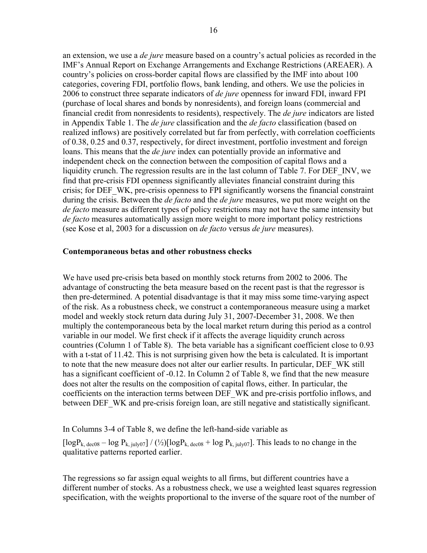an extension, we use a *de jure* measure based on a country's actual policies as recorded in the IMF's Annual Report on Exchange Arrangements and Exchange Restrictions (AREAER). A country's policies on cross-border capital flows are classified by the IMF into about 100 categories, covering FDI, portfolio flows, bank lending, and others. We use the policies in 2006 to construct three separate indicators of *de jure* openness for inward FDI, inward FPI (purchase of local shares and bonds by nonresidents), and foreign loans (commercial and financial credit from nonresidents to residents), respectively. The *de jure* indicators are listed in Appendix Table 1. The *de jure* classification and the *de facto* classification (based on realized inflows) are positively correlated but far from perfectly, with correlation coefficients of 0.38, 0.25 and 0.37, respectively, for direct investment, portfolio investment and foreign loans. This means that the *de jure* index can potentially provide an informative and independent check on the connection between the composition of capital flows and a liquidity crunch. The regression results are in the last column of Table 7. For DEF INV, we find that pre-crisis FDI openness significantly alleviates financial constraint during this crisis; for DEF\_WK, pre-crisis openness to FPI significantly worsens the financial constraint during the crisis. Between the *de facto* and the *de jure* measures, we put more weight on the *de facto* measure as different types of policy restrictions may not have the same intensity but *de facto* measures automatically assign more weight to more important policy restrictions (see Kose et al, 2003 for a discussion on *de facto* versus *de jure* measures).

#### **Contemporaneous betas and other robustness checks**

We have used pre-crisis beta based on monthly stock returns from 2002 to 2006. The advantage of constructing the beta measure based on the recent past is that the regressor is then pre-determined. A potential disadvantage is that it may miss some time-varying aspect of the risk. As a robustness check, we construct a contemporaneous measure using a market model and weekly stock return data during July 31, 2007-December 31, 2008. We then multiply the contemporaneous beta by the local market return during this period as a control variable in our model. We first check if it affects the average liquidity crunch across countries (Column 1 of Table 8). The beta variable has a significant coefficient close to 0.93 with a t-stat of 11.42. This is not surprising given how the beta is calculated. It is important to note that the new measure does not alter our earlier results. In particular, DEF\_WK still has a significant coefficient of -0.12. In Column 2 of Table 8, we find that the new measure does not alter the results on the composition of capital flows, either. In particular, the coefficients on the interaction terms between DEF\_WK and pre-crisis portfolio inflows, and between DEF WK and pre-crisis foreign loan, are still negative and statistically significant.

In Columns 3-4 of Table 8, we define the left-hand-side variable as

 $\left[\log P_{k,\text{dec08}} - \log P_{k,\text{ iuly07}}\right] / \left(\frac{1}{2}\right) \left[\log P_{k,\text{ dec08}} + \log P_{k,\text{ iuly07}}\right]$ . This leads to no change in the qualitative patterns reported earlier.

The regressions so far assign equal weights to all firms, but different countries have a different number of stocks. As a robustness check, we use a weighted least squares regression specification, with the weights proportional to the inverse of the square root of the number of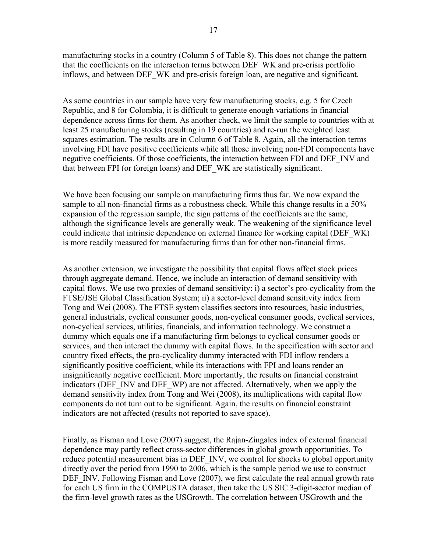manufacturing stocks in a country (Column 5 of Table 8). This does not change the pattern that the coefficients on the interaction terms between DEF\_WK and pre-crisis portfolio inflows, and between DEF WK and pre-crisis foreign loan, are negative and significant.

As some countries in our sample have very few manufacturing stocks, e.g. 5 for Czech Republic, and 8 for Colombia, it is difficult to generate enough variations in financial dependence across firms for them. As another check, we limit the sample to countries with at least 25 manufacturing stocks (resulting in 19 countries) and re-run the weighted least squares estimation. The results are in Column 6 of Table 8. Again, all the interaction terms involving FDI have positive coefficients while all those involving non-FDI components have negative coefficients. Of those coefficients, the interaction between FDI and DEF\_INV and that between FPI (or foreign loans) and DEF\_WK are statistically significant.

We have been focusing our sample on manufacturing firms thus far. We now expand the sample to all non-financial firms as a robustness check. While this change results in a 50% expansion of the regression sample, the sign patterns of the coefficients are the same, although the significance levels are generally weak. The weakening of the significance level could indicate that intrinsic dependence on external finance for working capital (DEF\_WK) is more readily measured for manufacturing firms than for other non-financial firms.

As another extension, we investigate the possibility that capital flows affect stock prices through aggregate demand. Hence, we include an interaction of demand sensitivity with capital flows. We use two proxies of demand sensitivity: i) a sector's pro-cyclicality from the FTSE/JSE Global Classification System; ii) a sector-level demand sensitivity index from Tong and Wei (2008). The FTSE system classifies sectors into resources, basic industries, general industrials, cyclical consumer goods, non-cyclical consumer goods, cyclical services, non-cyclical services, utilities, financials, and information technology. We construct a dummy which equals one if a manufacturing firm belongs to cyclical consumer goods or services, and then interact the dummy with capital flows. In the specification with sector and country fixed effects, the pro-cyclicality dummy interacted with FDI inflow renders a significantly positive coefficient, while its interactions with FPI and loans render an insignificantly negative coefficient. More importantly, the results on financial constraint indicators (DEF\_INV and DEF\_WP) are not affected. Alternatively, when we apply the demand sensitivity index from Tong and Wei (2008), its multiplications with capital flow components do not turn out to be significant. Again, the results on financial constraint indicators are not affected (results not reported to save space).

Finally, as Fisman and Love (2007) suggest, the Rajan-Zingales index of external financial dependence may partly reflect cross-sector differences in global growth opportunities. To reduce potential measurement bias in DEF\_INV, we control for shocks to global opportunity directly over the period from 1990 to 2006, which is the sample period we use to construct DEF INV. Following Fisman and Love (2007), we first calculate the real annual growth rate for each US firm in the COMPUSTA dataset, then take the US SIC 3-digit-sector median of the firm-level growth rates as the USGrowth. The correlation between USGrowth and the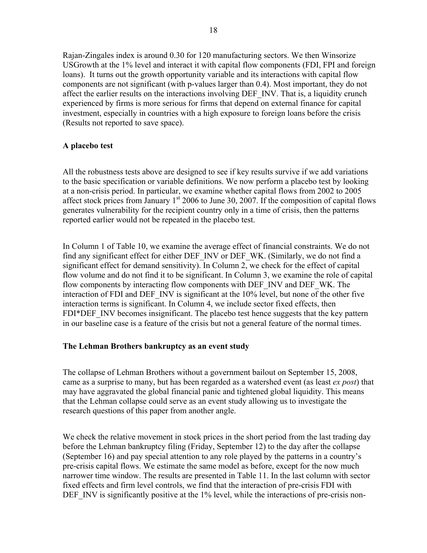Rajan-Zingales index is around 0.30 for 120 manufacturing sectors. We then Winsorize USGrowth at the 1% level and interact it with capital flow components (FDI, FPI and foreign loans). It turns out the growth opportunity variable and its interactions with capital flow components are not significant (with p-values larger than 0.4). Most important, they do not affect the earlier results on the interactions involving DEF INV. That is, a liquidity crunch experienced by firms is more serious for firms that depend on external finance for capital investment, especially in countries with a high exposure to foreign loans before the crisis (Results not reported to save space).

#### **A placebo test**

All the robustness tests above are designed to see if key results survive if we add variations to the basic specification or variable definitions. We now perform a placebo test by looking at a non-crisis period. In particular, we examine whether capital flows from 2002 to 2005 affect stock prices from January  $1<sup>st</sup>$  2006 to June 30, 2007. If the composition of capital flows generates vulnerability for the recipient country only in a time of crisis, then the patterns reported earlier would not be repeated in the placebo test.

In Column 1 of Table 10, we examine the average effect of financial constraints. We do not find any significant effect for either DEF\_INV or DEF\_WK. (Similarly, we do not find a significant effect for demand sensitivity). In Column 2, we check for the effect of capital flow volume and do not find it to be significant. In Column 3, we examine the role of capital flow components by interacting flow components with DEF\_INV and DEF\_WK. The interaction of FDI and DEF. INV is significant at the  $10\%$  level, but none of the other five interaction terms is significant. In Column 4, we include sector fixed effects, then FDI\*DEF INV becomes insignificant. The placebo test hence suggests that the key pattern in our baseline case is a feature of the crisis but not a general feature of the normal times.

#### **The Lehman Brothers bankruptcy as an event study**

The collapse of Lehman Brothers without a government bailout on September 15, 2008, came as a surprise to many, but has been regarded as a watershed event (as least *ex post*) that may have aggravated the global financial panic and tightened global liquidity. This means that the Lehman collapse could serve as an event study allowing us to investigate the research questions of this paper from another angle.

We check the relative movement in stock prices in the short period from the last trading day before the Lehman bankruptcy filing (Friday, September 12) to the day after the collapse (September 16) and pay special attention to any role played by the patterns in a country's pre-crisis capital flows. We estimate the same model as before, except for the now much narrower time window. The results are presented in Table 11. In the last column with sector fixed effects and firm level controls, we find that the interaction of pre-crisis FDI with DEF INV is significantly positive at the 1% level, while the interactions of pre-crisis non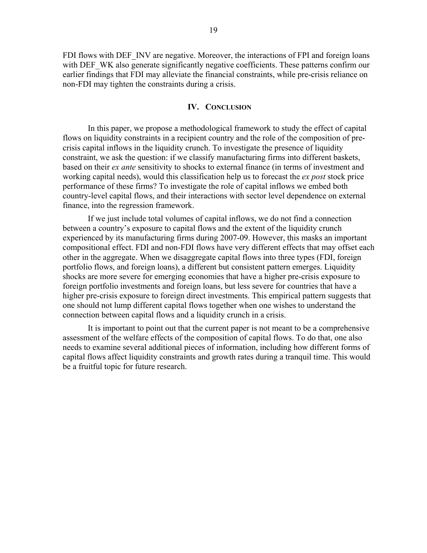FDI flows with DEF INV are negative. Moreover, the interactions of FPI and foreign loans with DEF WK also generate significantly negative coefficients. These patterns confirm our earlier findings that FDI may alleviate the financial constraints, while pre-crisis reliance on non-FDI may tighten the constraints during a crisis.

#### **IV. CONCLUSION**

In this paper, we propose a methodological framework to study the effect of capital flows on liquidity constraints in a recipient country and the role of the composition of precrisis capital inflows in the liquidity crunch. To investigate the presence of liquidity constraint, we ask the question: if we classify manufacturing firms into different baskets, based on their *ex ante* sensitivity to shocks to external finance (in terms of investment and working capital needs), would this classification help us to forecast the *ex post* stock price performance of these firms? To investigate the role of capital inflows we embed both country-level capital flows, and their interactions with sector level dependence on external finance, into the regression framework.

If we just include total volumes of capital inflows, we do not find a connection between a country's exposure to capital flows and the extent of the liquidity crunch experienced by its manufacturing firms during 2007-09. However, this masks an important compositional effect. FDI and non-FDI flows have very different effects that may offset each other in the aggregate. When we disaggregate capital flows into three types (FDI, foreign portfolio flows, and foreign loans), a different but consistent pattern emerges. Liquidity shocks are more severe for emerging economies that have a higher pre-crisis exposure to foreign portfolio investments and foreign loans, but less severe for countries that have a higher pre-crisis exposure to foreign direct investments. This empirical pattern suggests that one should not lump different capital flows together when one wishes to understand the connection between capital flows and a liquidity crunch in a crisis.

It is important to point out that the current paper is not meant to be a comprehensive assessment of the welfare effects of the composition of capital flows. To do that, one also needs to examine several additional pieces of information, including how different forms of capital flows affect liquidity constraints and growth rates during a tranquil time. This would be a fruitful topic for future research.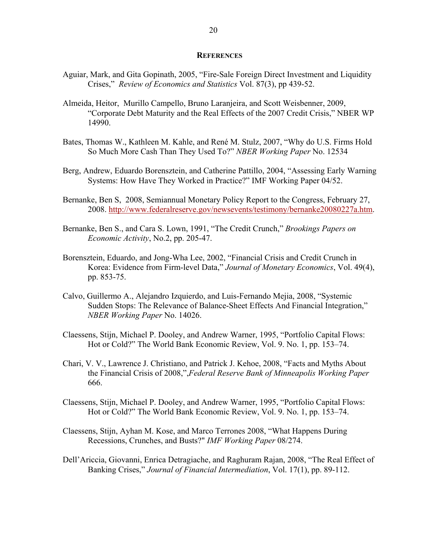#### **REFERENCES**

- Aguiar, Mark, and Gita Gopinath, 2005, "Fire-Sale Foreign Direct Investment and Liquidity Crises," *Review of Economics and Statistics* Vol. 87(3), pp 439-52.
- Almeida, Heitor, Murillo Campello, Bruno Laranjeira, and Scott Weisbenner, 2009, "Corporate Debt Maturity and the Real Effects of the 2007 Credit Crisis," NBER WP 14990.
- Bates, Thomas W., Kathleen M. Kahle, and René M. Stulz, 2007, "Why do U.S. Firms Hold So Much More Cash Than They Used To?" *NBER Working Paper* No. 12534
- Berg, Andrew, Eduardo Borensztein, and Catherine Pattillo, 2004, "Assessing Early Warning Systems: How Have They Worked in Practice?" IMF Working Paper 04/52.
- Bernanke, Ben S, 2008, Semiannual Monetary Policy Report to the Congress, February 27, 2008. http://www.federalreserve.gov/newsevents/testimony/bernanke20080227a.htm.
- Bernanke, Ben S., and Cara S. Lown, 1991, "The Credit Crunch," *Brookings Papers on Economic Activity*, No.2, pp. 205-47.
- Borensztein, Eduardo, and Jong-Wha Lee, 2002, "Financial Crisis and Credit Crunch in Korea: Evidence from Firm-level Data," *Journal of Monetary Economics*, Vol. 49(4), pp. 853-75.
- Calvo, Guillermo A., Alejandro Izquierdo, and Luis-Fernando Mejia, 2008, "Systemic Sudden Stops: The Relevance of Balance-Sheet Effects And Financial Integration," *NBER Working Paper* No. 14026.
- Claessens, Stijn, Michael P. Dooley, and Andrew Warner, 1995, "Portfolio Capital Flows: Hot or Cold?" The World Bank Economic Review, Vol. 9. No. 1, pp. 153–74.
- Chari, V. V., Lawrence J. Christiano, and Patrick J. Kehoe, 2008, "Facts and Myths About the Financial Crisis of 2008,",*Federal Reserve Bank of Minneapolis Working Paper* 666.
- Claessens, Stijn, Michael P. Dooley, and Andrew Warner, 1995, "Portfolio Capital Flows: Hot or Cold?" The World Bank Economic Review, Vol. 9. No. 1, pp. 153–74.
- Claessens, Stijn, Ayhan M. Kose, and Marco Terrones 2008, "What Happens During Recessions, Crunches, and Busts?" *IMF Working Paper* 08/274.
- Dell'Ariccia, Giovanni, Enrica Detragiache, and Raghuram Rajan, 2008, "The Real Effect of Banking Crises," *Journal of Financial Intermediation*, Vol. 17(1), pp. 89-112.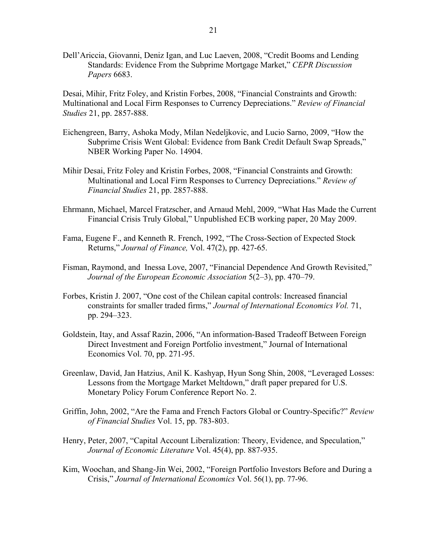Dell'Ariccia, Giovanni, Deniz Igan, and Luc Laeven, 2008, "Credit Booms and Lending Standards: Evidence From the Subprime Mortgage Market," *CEPR Discussion Papers* 6683.

Desai, Mihir, Fritz Foley, and Kristin Forbes, 2008, "Financial Constraints and Growth: Multinational and Local Firm Responses to Currency Depreciations." *Review of Financial Studies* 21, pp. 2857-888.

- Eichengreen, Barry, Ashoka Mody, Milan Nedeljkovic, and Lucio Sarno, 2009, "How the Subprime Crisis Went Global: Evidence from Bank Credit Default Swap Spreads," NBER Working Paper No. 14904.
- Mihir Desai, Fritz Foley and Kristin Forbes, 2008, "Financial Constraints and Growth: Multinational and Local Firm Responses to Currency Depreciations." *Review of Financial Studies* 21, pp. 2857-888.
- Ehrmann, Michael, Marcel Fratzscher, and Arnaud Mehl, 2009, "What Has Made the Current Financial Crisis Truly Global," Unpublished ECB working paper, 20 May 2009.
- Fama, Eugene F., and Kenneth R. French, 1992, "The Cross-Section of Expected Stock Returns," *Journal of Finance,* Vol. 47(2), pp. 427-65.
- Fisman, Raymond, and Inessa Love, 2007, "Financial Dependence And Growth Revisited," *Journal of the European Economic Association* 5(2–3), pp. 470–79.
- Forbes, Kristin J. 2007, "One cost of the Chilean capital controls: Increased financial constraints for smaller traded firms," *Journal of International Economics Vol.* 71, pp. 294–323.
- Goldstein, Itay, and Assaf Razin, 2006, "An information-Based Tradeoff Between Foreign Direct Investment and Foreign Portfolio investment," Journal of International Economics Vol. 70, pp. 271-95.
- Greenlaw, David, Jan Hatzius, Anil K. Kashyap, Hyun Song Shin, 2008, "Leveraged Losses: Lessons from the Mortgage Market Meltdown," draft paper prepared for U.S. Monetary Policy Forum Conference Report No. 2.
- Griffin, John, 2002, "Are the Fama and French Factors Global or Country-Specific?" *Review of Financial Studies* Vol. 15, pp. 783-803.
- Henry, Peter, 2007, "Capital Account Liberalization: Theory, Evidence, and Speculation," *Journal of Economic Literature* Vol. 45(4), pp. 887-935.
- Kim, Woochan, and Shang-Jin Wei, 2002, "Foreign Portfolio Investors Before and During a Crisis," *Journal of International Economics* Vol. 56(1), pp. 77-96.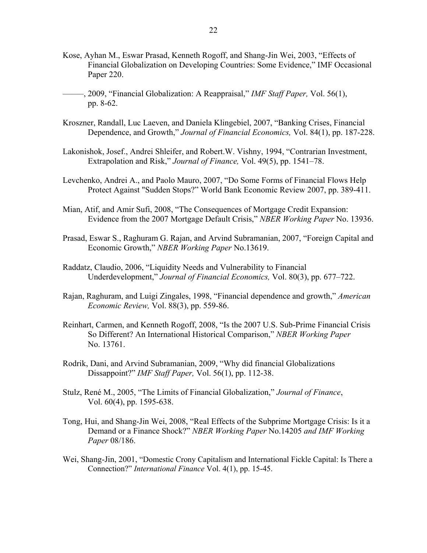- Kose, Ayhan M., Eswar Prasad, Kenneth Rogoff, and Shang-Jin Wei, 2003, "Effects of Financial Globalization on Developing Countries: Some Evidence," IMF Occasional Paper 220.
- –––––, 2009, "Financial Globalization: A Reappraisal," *IMF Staff Paper,* Vol. 56(1), pp. 8-62.
- Kroszner, Randall, Luc Laeven, and Daniela Klingebiel, 2007, "Banking Crises, Financial Dependence, and Growth," *Journal of Financial Economics,* Vol. 84(1), pp. 187-228.
- Lakonishok, Josef., Andrei Shleifer, and Robert.W. Vishny, 1994, "Contrarian Investment, Extrapolation and Risk," *Journal of Finance,* Vol. 49(5), pp. 1541–78.
- Levchenko, Andrei A., and Paolo Mauro, 2007, "Do Some Forms of Financial Flows Help Protect Against "Sudden Stops?" World Bank Economic Review 2007, pp. 389-411.
- Mian, Atif, and Amir Sufi, 2008, "The Consequences of Mortgage Credit Expansion: Evidence from the 2007 Mortgage Default Crisis," *NBER Working Paper* No. 13936.
- Prasad, Eswar S., Raghuram G. Rajan, and Arvind Subramanian, 2007, "Foreign Capital and Economic Growth," *NBER Working Paper* No.13619.
- Raddatz, Claudio, 2006, "Liquidity Needs and Vulnerability to Financial Underdevelopment," *Journal of Financial Economics,* Vol. 80(3), pp. 677–722.
- Rajan, Raghuram, and Luigi Zingales, 1998, "Financial dependence and growth," *American Economic Review,* Vol. 88(3), pp. 559-86.
- Reinhart, Carmen, and Kenneth Rogoff, 2008, "Is the 2007 U.S. Sub-Prime Financial Crisis So Different? An International Historical Comparison," *NBER Working Paper*  No. 13761.
- Rodrik, Dani, and Arvind Subramanian, 2009, "Why did financial Globalizations Dissappoint?" *IMF Staff Paper,* Vol. 56(1), pp. 112-38.
- Stulz, René M., 2005, "The Limits of Financial Globalization," *Journal of Finance*, Vol. 60(4), pp. 1595-638.
- Tong, Hui, and Shang-Jin Wei, 2008, "Real Effects of the Subprime Mortgage Crisis: Is it a Demand or a Finance Shock?" *NBER Working Paper* No.14205 *and IMF Working Paper* 08/186.
- Wei, Shang-Jin, 2001, "Domestic Crony Capitalism and International Fickle Capital: Is There a Connection?" *International Finance* Vol. 4(1), pp. 15-45.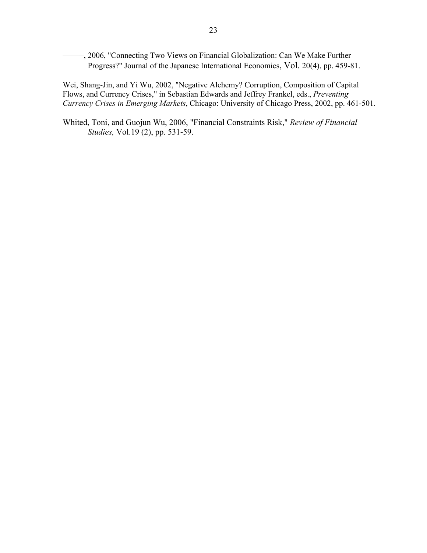–––––, 2006, "Connecting Two Views on Financial Globalization: Can We Make Further Progress?" Journal of the Japanese International Economics, Vol. 20(4), pp. 459-81.

Wei, Shang-Jin, and Yi Wu, 2002, "Negative Alchemy? Corruption, Composition of Capital Flows, and Currency Crises," in Sebastian Edwards and Jeffrey Frankel, eds., *Preventing Currency Crises in Emerging Markets*, Chicago: University of Chicago Press, 2002, pp. 461-501.

Whited, Toni, and Guojun Wu, 2006, "Financial Constraints Risk," *Review of Financial Studies,* Vol.19 (2), pp. 531-59.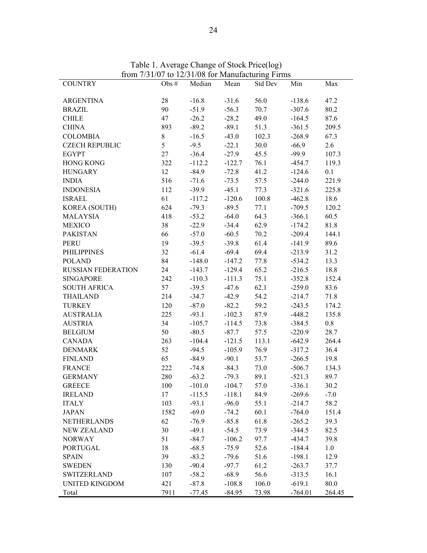| $10117771707$ to $12731700$ for ividituracturing Firms |       |          |          |         |           |        |
|--------------------------------------------------------|-------|----------|----------|---------|-----------|--------|
| <b>COUNTRY</b>                                         | Obs#  | Median   | Mean     | Std Dev | Min       | Max    |
| <b>ARGENTINA</b>                                       | 28    | $-16.8$  | $-31.6$  | 56.0    | $-138.6$  | 47.2   |
| <b>BRAZIL</b>                                          | 90    | $-51.9$  | $-56.3$  | 70.7    | $-307.6$  | 80.2   |
| <b>CHILE</b>                                           | 47    | $-26.2$  | $-28.2$  | 49.0    | $-164.5$  | 87.6   |
| <b>CHINA</b>                                           | 893   | $-89.2$  | $-89.1$  | 51.3    | $-361.5$  | 209.5  |
| COLOMBIA                                               | $8\,$ | $-16.5$  | $-43.0$  | 102.3   | $-268.9$  | 67.3   |
| <b>CZECH REPUBLIC</b>                                  | 5     | $-9.5$   | $-22.1$  | 30.0    | $-66.9$   | 2.6    |
| <b>EGYPT</b>                                           | 27    | $-36.4$  | $-27.9$  | 45.5    | $-99.9$   | 107.3  |
| <b>HONG KONG</b>                                       | 322   | $-112.2$ | $-122.7$ | 76.1    | $-454.7$  | 119.3  |
| <b>HUNGARY</b>                                         | 12    | $-84.9$  | $-72.8$  | 41.2    | $-124.6$  | 0.1    |
| <b>INDIA</b>                                           | 516   | $-71.6$  | $-73.5$  | 57.5    | $-244.0$  | 221.9  |
| <b>INDONESIA</b>                                       | 112   | $-39.9$  | $-45.1$  | 77.3    | $-321.6$  | 225.8  |
| <b>ISRAEL</b>                                          | 61    | $-117.2$ | $-120.6$ | 100.8   | $-462.8$  | 18.6   |
| KOREA (SOUTH)                                          | 624   | $-79.3$  | $-89.5$  | 77.1    | $-709.5$  | 120.2  |
| <b>MALAYSIA</b>                                        | 418   | $-53.2$  | $-64.0$  | 64.3    | $-366.1$  | 60.5   |
| <b>MEXICO</b>                                          | 38    | $-22.9$  | $-34.4$  | 62.9    | $-174.2$  | 81.8   |
| <b>PAKISTAN</b>                                        | 66    | $-57.0$  | $-60.5$  | 70.2    | $-209.4$  | 144.1  |
| PERU                                                   | 19    | $-39.5$  | $-39.8$  | 61.4    | $-141.9$  | 89.6   |
| <b>PHILIPPINES</b>                                     | 32    | $-61.4$  | $-69.4$  | 69.4    | $-213.9$  | 31.2   |
| <b>POLAND</b>                                          | 84    | $-148.0$ | $-147.2$ | 77.8    | $-534.2$  | 13.3   |
| <b>RUSSIAN FEDERATION</b>                              | 24    | $-143.7$ | $-129.4$ | 65.2    | $-216.5$  | 18.8   |
| <b>SINGAPORE</b>                                       | 242   | $-110.3$ | $-111.3$ | 75.1    | $-352.8$  | 152.4  |
| <b>SOUTH AFRICA</b>                                    | 57    | $-39.5$  | $-47.6$  | 62.1    | $-259.0$  | 83.6   |
| <b>THAILAND</b>                                        | 214   | $-34.7$  | $-42.9$  | 54.2    | $-214.7$  | 71.8   |
| <b>TURKEY</b>                                          | 120   | $-87.0$  | $-82.2$  | 59.2    | $-243.5$  | 174.2  |
| <b>AUSTRALIA</b>                                       | 225   | $-93.1$  | $-102.3$ | 87.9    | $-448.2$  | 135.8  |
| <b>AUSTRIA</b>                                         | 34    | $-105.7$ | $-114.5$ | 73.8    | $-384.5$  | 0.8    |
| <b>BELGIUM</b>                                         | 50    | $-80.5$  | $-87.7$  | 57.5    | $-220.9$  | 28.7   |
| <b>CANADA</b>                                          | 263   | $-104.4$ | $-121.5$ | 113.1   | $-642.9$  | 264.4  |
| <b>DENMARK</b>                                         | 52    | $-94.5$  | $-105.9$ | 76.9    | $-317.2$  | 36.4   |
| <b>FINLAND</b>                                         | 65    | $-84.9$  | $-90.1$  | 53.7    | $-266.5$  | 19.8   |
| <b>FRANCE</b>                                          | 222   | $-74.8$  | $-84.3$  | 73.0    | $-506.7$  | 134.3  |
| <b>GERMANY</b>                                         | 280   | $-63.2$  | $-79.3$  | 89.1    | $-521.3$  | 89.7   |
| <b>GREECE</b>                                          | 100   | $-101.0$ | $-104.7$ | 57.0    | $-336.1$  | 30.2   |
| <b>IRELAND</b>                                         | 17    | $-115.5$ | $-118.1$ | 84.9    | $-269.6$  | $-7.0$ |
| <b>ITALY</b>                                           | 103   | $-93.1$  | $-96.0$  | 55.1    | $-214.7$  | 58.2   |
| <b>JAPAN</b>                                           | 1582  | $-69.0$  | $-74.2$  | 60.1    | $-764.0$  | 151.4  |
| <b>NETHERLANDS</b>                                     | 62    | $-76.9$  | $-85.8$  | 61.8    | $-265.2$  | 39.3   |
| <b>NEW ZEALAND</b>                                     | 30    | $-49.1$  | $-54.5$  | 73.9    | $-344.5$  | 82.5   |
| <b>NORWAY</b>                                          | 51    | $-84.7$  | $-106.2$ | 97.7    | $-434.7$  | 39.8   |
| <b>PORTUGAL</b>                                        | 18    | $-68.5$  | $-75.9$  | 52.6    | $-184.4$  | 1.0    |
| <b>SPAIN</b>                                           | 39    | $-83.2$  | $-79.6$  | 51.6    | $-198.1$  | 12.9   |
| <b>SWEDEN</b>                                          | 130   | $-90.4$  | $-97.7$  | 61.2    | $-263.7$  | 37.7   |
| <b>SWITZERLAND</b>                                     | 107   | $-58.2$  | $-68.9$  | 56.6    | $-313.5$  | 16.1   |
| <b>UNITED KINGDOM</b>                                  | 421   | $-87.8$  | $-108.8$ | 106.0   | $-619.1$  | 80.0   |
| Total                                                  | 7911  | $-77.45$ | $-84.95$ | 73.98   | $-764.01$ | 264.45 |

Table 1. Average Change of Stock Price(log) from 7/31/07 to 12/31/08 for Manufacturing Firms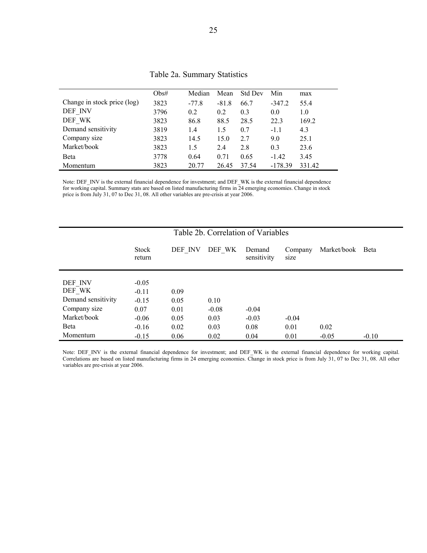|                             | Obs# | Median  | Mean    | <b>Std Dev</b> | Min       | max    |
|-----------------------------|------|---------|---------|----------------|-----------|--------|
| Change in stock price (log) | 3823 | $-77.8$ | $-81.8$ | 66.7           | $-347.2$  | 55.4   |
| DEF INV                     | 3796 | 0.2     | 0.2     | 0.3            | 0.0       | 1.0    |
| DEF WK                      | 3823 | 86.8    | 88.5    | 28.5           | 22.3      | 169.2  |
| Demand sensitivity          | 3819 | 1.4     | 1.5     | 0.7            | $-1.1$    | 4.3    |
| Company size                | 3823 | 14.5    | 15.0    | 2.7            | 9.0       | 25.1   |
| Market/book                 | 3823 | 1.5     | 2.4     | 2.8            | 0.3       | 23.6   |
| Beta                        | 3778 | 0.64    | 0.71    | 0.65           | $-1.42$   | 3.45   |
| Momentum                    | 3823 | 20.77   | 26.45   | 37.54          | $-178.39$ | 331.42 |

#### Table 2a. Summary Statistics

Note: DEF\_INV is the external financial dependence for investment; and DEF\_WK is the external financial dependence for working capital. Summary stats are based on listed manufacturing firms in 24 emerging economies. Change in stock price is from July 31, 07 to Dec 31, 08. All other variables are pre-crisis at year 2006.

| Table 2b. Correlation of Variables |                        |         |         |                       |                 |             |              |  |  |
|------------------------------------|------------------------|---------|---------|-----------------------|-----------------|-------------|--------------|--|--|
|                                    | <b>Stock</b><br>return | DEF INV | DEF WK  | Demand<br>sensitivity | Company<br>size | Market/book | <b>B</b> eta |  |  |
|                                    |                        |         |         |                       |                 |             |              |  |  |
| DEF INV                            | $-0.05$                |         |         |                       |                 |             |              |  |  |
| DEF WK                             | $-0.11$                | 0.09    |         |                       |                 |             |              |  |  |
| Demand sensitivity                 | $-0.15$                | 0.05    | 0.10    |                       |                 |             |              |  |  |
| Company size                       | 0.07                   | 0.01    | $-0.08$ | $-0.04$               |                 |             |              |  |  |
| Market/book                        | $-0.06$                | 0.05    | 0.03    | $-0.03$               | $-0.04$         |             |              |  |  |
| Beta                               | $-0.16$                | 0.02    | 0.03    | 0.08                  | 0.01            | 0.02        |              |  |  |
| Momentum                           | $-0.15$                | 0.06    | 0.02    | 0.04                  | 0.01            | $-0.05$     | $-0.10$      |  |  |

Note: DEF\_INV is the external financial dependence for investment; and DEF\_WK is the external financial dependence for working capital. Correlations are based on listed manufacturing firms in 24 emerging economies. Change in stock price is from July 31, 07 to Dec 31, 08. All other variables are pre-crisis at year 2006.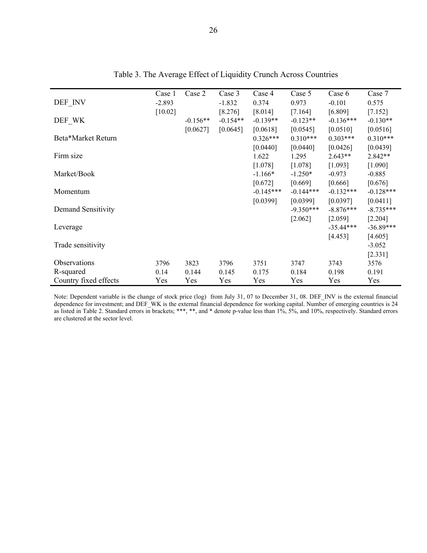| DEF_INV               | Case 1<br>$-2.893$ | Case 2                 | Case 3<br>$-1.832$                | Case 4<br>0.374                   | Case 5<br>0.973                   | Case 6<br>$-0.101$                 | Case 7<br>0.575                   |
|-----------------------|--------------------|------------------------|-----------------------------------|-----------------------------------|-----------------------------------|------------------------------------|-----------------------------------|
| DEF WK                | [10.02]            | $-0.156**$<br>[0.0627] | [8.276]<br>$-0.154**$<br>[0.0645] | [8.014]<br>$-0.139**$<br>[0.0618] | [7.164]<br>$-0.123**$<br>[0.0545] | [6.809]<br>$-0.136***$<br>[0.0510] | [7.152]<br>$-0.130**$<br>[0.0516] |
| Beta*Market Return    |                    |                        |                                   | $0.326***$<br>[0.0440]            | $0.310***$<br>[0.0440]            | $0.303***$<br>[0.0426]             | $0.310***$<br>[0.0439]            |
| Firm size             |                    |                        |                                   | 1.622<br>[1.078]                  | 1.295<br>[1.078]                  | $2.643**$<br>[1.093]               | 2.842**<br>[1.090]                |
| Market/Book           |                    |                        |                                   | $-1.166*$<br>[0.672]              | $-1.250*$<br>[0.669]              | $-0.973$<br>[0.666]                | $-0.885$<br>[0.676]               |
| Momentum              |                    |                        |                                   | $-0.145***$                       | $-0.144***$                       | $-0.132***$                        | $-0.128***$                       |
| Demand Sensitivity    |                    |                        |                                   | [0.0399]                          | [0.0399]<br>$-9.350***$           | [0.0397]<br>$-8.876***$            | [0.0411]<br>$-8.735***$           |
| Leverage              |                    |                        |                                   |                                   | [2.062]                           | [2.059]<br>$-35.44***$             | [2.204]<br>$-36.89***$            |
| Trade sensitivity     |                    |                        |                                   |                                   |                                   | [4.453]                            | [4.605]<br>$-3.052$               |
| Observations          | 3796               | 3823                   | 3796                              | 3751                              | 3747                              | 3743                               | [2.331]<br>3576                   |
| R-squared             | 0.14               | 0.144                  | 0.145                             | 0.175                             | 0.184                             | 0.198                              | 0.191                             |
| Country fixed effects | Yes                | Yes                    | Yes                               | Yes                               | Yes                               | Yes                                | Yes                               |

Table 3. The Average Effect of Liquidity Crunch Across Countries

Note: Dependent variable is the change of stock price (log) from July 31, 07 to December 31, 08. DEF\_INV is the external financial dependence for investment; and DEF\_WK is the external financial dependence for working capital. Number of emerging countries is 24 as listed in Table 2. Standard errors in brackets; \*\*\*, \*\*, and \* denote p-value less than 1%, 5%, and 10%, respectively. Standard errors are clustered at the sector level.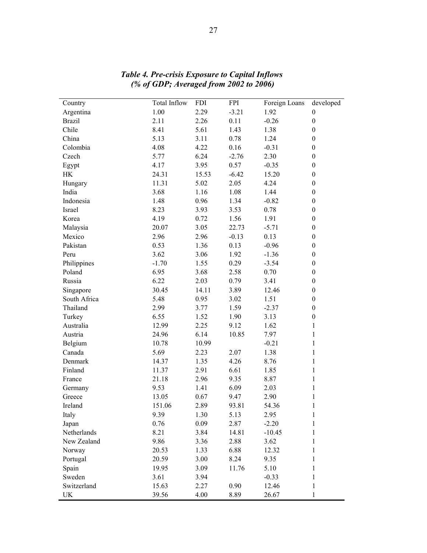| Country       | Total Inflow | <b>FDI</b> | <b>FPI</b> | Foreign Loans | developed        |
|---------------|--------------|------------|------------|---------------|------------------|
| Argentina     | 1.00         | 2.29       | $-3.21$    | 1.92          | $\boldsymbol{0}$ |
| <b>Brazil</b> | 2.11         | 2.26       | 0.11       | $-0.26$       | $\boldsymbol{0}$ |
| Chile         | 8.41         | 5.61       | 1.43       | 1.38          | $\boldsymbol{0}$ |
| China         | 5.13         | 3.11       | 0.78       | 1.24          | $\boldsymbol{0}$ |
| Colombia      | 4.08         | 4.22       | 0.16       | $-0.31$       | $\boldsymbol{0}$ |
| Czech         | 5.77         | 6.24       | $-2.76$    | 2.30          | $\boldsymbol{0}$ |
| Egypt         | 4.17         | 3.95       | 0.57       | $-0.35$       | $\boldsymbol{0}$ |
| HK            | 24.31        | 15.53      | $-6.42$    | 15.20         | $\boldsymbol{0}$ |
| Hungary       | 11.31        | 5.02       | 2.05       | 4.24          | $\boldsymbol{0}$ |
| India         | 3.68         | 1.16       | 1.08       | 1.44          | $\boldsymbol{0}$ |
| Indonesia     | 1.48         | 0.96       | 1.34       | $-0.82$       | $\boldsymbol{0}$ |
| Israel        | 8.23         | 3.93       | 3.53       | 0.78          | $\boldsymbol{0}$ |
| Korea         | 4.19         | 0.72       | 1.56       | 1.91          | $\boldsymbol{0}$ |
| Malaysia      | 20.07        | 3.05       | 22.73      | $-5.71$       | $\boldsymbol{0}$ |
| Mexico        | 2.96         | 2.96       | $-0.13$    | 0.13          | $\boldsymbol{0}$ |
| Pakistan      | 0.53         | 1.36       | 0.13       | $-0.96$       | $\boldsymbol{0}$ |
| Peru          | 3.62         | 3.06       | 1.92       | $-1.36$       | $\boldsymbol{0}$ |
| Philippines   | $-1.70$      | 1.55       | 0.29       | $-3.54$       | $\boldsymbol{0}$ |
| Poland        | 6.95         | 3.68       | 2.58       | 0.70          | $\boldsymbol{0}$ |
| Russia        | 6.22         | 2.03       | 0.79       | 3.41          | $\boldsymbol{0}$ |
| Singapore     | 30.45        | 14.11      | 3.89       | 12.46         | $\boldsymbol{0}$ |
| South Africa  | 5.48         | 0.95       | 3.02       | 1.51          | $\boldsymbol{0}$ |
| Thailand      | 2.99         | 3.77       | 1.59       | $-2.37$       | $\boldsymbol{0}$ |
| Turkey        | 6.55         | 1.52       | 1.90       | 3.13          | $\boldsymbol{0}$ |
| Australia     | 12.99        | 2.25       | 9.12       | 1.62          | $\mathbf{1}$     |
| Austria       | 24.96        | 6.14       | 10.85      | 7.97          | $\mathbf{1}$     |
| Belgium       | 10.78        | 10.99      |            | $-0.21$       | $\mathbf{1}$     |
| Canada        | 5.69         | 2.23       | 2.07       | 1.38          | $\mathbf{1}$     |
| Denmark       | 14.37        | 1.35       | 4.26       | 8.76          | $\mathbf{1}$     |
| Finland       | 11.37        | 2.91       | 6.61       | 1.85          | $\mathbf{1}$     |
| France        | 21.18        | 2.96       | 9.35       | 8.87          | $\mathbf{1}$     |
| Germany       | 9.53         | 1.41       | 6.09       | 2.03          | $\mathbf{1}$     |
| Greece        | 13.05        | 0.67       | 9.47       | 2.90          | $\mathbf{1}$     |
| Ireland       | 151.06       | 2.89       | 93.81      | 54.36         | 1                |
| Italy         | 9.39         | 1.30       | 5.13       | 2.95          | 1                |
| Japan         | 0.76         | 0.09       | 2.87       | $-2.20$       | 1                |
| Netherlands   | 8.21         | 3.84       | 14.81      | $-10.45$      | $\mathbf{1}$     |
| New Zealand   | 9.86         | 3.36       | 2.88       | 3.62          | $\mathbf{1}$     |
| Norway        | 20.53        | 1.33       | 6.88       | 12.32         | $\mathbf{1}$     |
| Portugal      | 20.59        | 3.00       | 8.24       | 9.35          | $\mathbf{1}$     |
| Spain         | 19.95        | 3.09       | 11.76      | 5.10          | 1                |
| Sweden        | 3.61         | 3.94       |            | $-0.33$       | 1                |
| Switzerland   | 15.63        | 2.27       | 0.90       | 12.46         | $\mathbf{1}$     |
| UK            | 39.56        | 4.00       | 8.89       | 26.67         | $\mathbf{1}$     |

#### *Table 4. Pre-crisis Exposure to Capital Inflows (% of GDP; Averaged from 2002 to 2006)*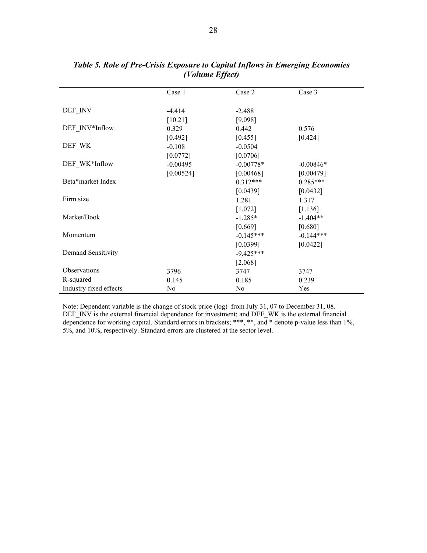|                        | Case 1     | Case 2      | Case 3      |  |
|------------------------|------------|-------------|-------------|--|
|                        |            |             |             |  |
| DEF INV                | $-4.414$   | $-2.488$    |             |  |
|                        | [10.21]    | [9.098]     |             |  |
| DEF INV*Inflow         | 0.329      | 0.442       | 0.576       |  |
|                        | [0.492]    | [0.455]     | [0.424]     |  |
| DEF_WK                 | $-0.108$   | $-0.0504$   |             |  |
|                        | [0.0772]   | [0.0706]    |             |  |
| DEF WK*Inflow          | $-0.00495$ | $-0.00778*$ | $-0.00846*$ |  |
|                        | [0.00524]  | [0.00468]   | [0.00479]   |  |
| Beta*market Index      |            | $0.312***$  | $0.285***$  |  |
|                        |            | [0.0439]    | [0.0432]    |  |
| Firm size              |            | 1.281       | 1.317       |  |
|                        |            | [1.072]     | [1.136]     |  |
| Market/Book            |            | $-1.285*$   | $-1.404**$  |  |
|                        |            | [0.669]     | [0.680]     |  |
| Momentum               |            | $-0.145***$ | $-0.144***$ |  |
|                        |            | [0.0399]    | [0.0422]    |  |
| Demand Sensitivity     |            | $-9.425***$ |             |  |
|                        |            | [2.068]     |             |  |
| Observations           | 3796       | 3747        | 3747        |  |
| R-squared              | 0.145      | 0.185       | 0.239       |  |
| Industry fixed effects | No         | No          | Yes         |  |

*Table 5. Role of Pre-Crisis Exposure to Capital Inflows in Emerging Economies (Volume Effect)* 

Note: Dependent variable is the change of stock price (log) from July 31, 07 to December 31, 08. DEF\_INV is the external financial dependence for investment; and DEF\_WK is the external financial dependence for working capital. Standard errors in brackets; \*\*\*, \*\*, and \* denote p-value less than 1%, 5%, and 10%, respectively. Standard errors are clustered at the sector level.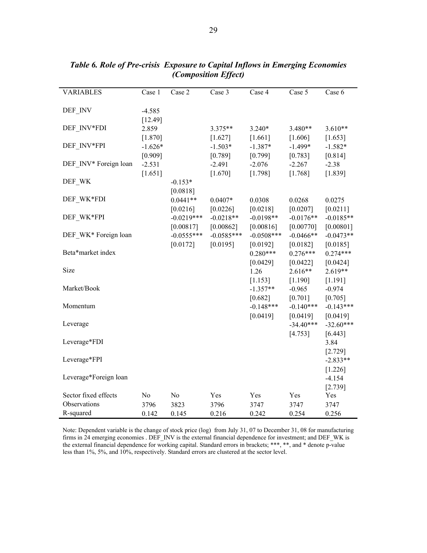| <b>VARIABLES</b>      | Case 1               | Case 2                    | Case 3                   | Case 4                   | Case 5                   | Case 6                   |
|-----------------------|----------------------|---------------------------|--------------------------|--------------------------|--------------------------|--------------------------|
| DEF_INV               | $-4.585$             |                           |                          |                          |                          |                          |
| DEF INV*FDI           | [12.49]<br>2.859     |                           | 3.375**                  | $3.240*$                 | 3.480**                  | $3.610**$                |
| DEF INV*FPI           | [1.870]<br>$-1.626*$ |                           | [1.627]<br>$-1.503*$     | [1.661]<br>$-1.387*$     | [1.606]<br>$-1.499*$     | [1.653]<br>$-1.582*$     |
|                       | [0.909]              |                           | [0.789]                  | [0.799]                  | [0.783]                  | [0.814]                  |
| DEF INV* Foreign loan | $-2.531$<br>[1.651]  |                           | $-2.491$<br>[1.670]      | $-2.076$<br>[1.798]      | $-2.267$<br>$[1.768]$    | $-2.38$<br>[1.839]       |
| DEF WK                |                      | $-0.153*$<br>[0.0818]     |                          |                          |                          |                          |
| DEF WK*FDI            |                      | $0.0441**$<br>[0.0216]    | $0.0407*$<br>[0.0226]    | 0.0308<br>[0.0218]       | 0.0268<br>[0.0207]       | 0.0275<br>[0.0211]       |
| DEF WK*FPI            |                      | $-0.0219***$<br>[0.00817] | $-0.0218**$<br>[0.00862] | $-0.0198**$<br>[0.00816] | $-0.0176**$<br>[0.00770] | $-0.0185**$              |
| DEF WK* Foreign loan  |                      | $-0.0555***$              | $-0.0585***$             | $-0.0508***$             | $-0.0466**$              | [0.00801]<br>$-0.0473**$ |
| Beta*market index     |                      | [0.0172]                  | [0.0195]                 | [0.0192]<br>$0.280***$   | [0.0182]<br>$0.276***$   | [0.0185]<br>$0.274***$   |
| Size                  |                      |                           |                          | [0.0429]<br>1.26         | [0.0422]<br>$2.616**$    | [0.0424]<br>$2.619**$    |
| Market/Book           |                      |                           |                          | [1.153]<br>$-1.357**$    | [1.190]<br>$-0.965$      | [1.191]<br>$-0.974$      |
| Momentum              |                      |                           |                          | [0.682]<br>$-0.148***$   | [0.701]<br>$-0.140***$   | [0.705]<br>$-0.143***$   |
| Leverage              |                      |                           |                          | [0.0419]                 | [0.0419]<br>$-34.40***$  | [0.0419]<br>$-32.60***$  |
|                       |                      |                           |                          |                          | [4.753]                  | [6.443]                  |
| Leverage*FDI          |                      |                           |                          |                          |                          | 3.84<br>[2.729]          |
| Leverage*FPI          |                      |                           |                          |                          |                          | $-2.833**$<br>[1.226]    |
| Leverage*Foreign loan |                      |                           |                          |                          |                          | $-4.154$<br>[2.739]      |
| Sector fixed effects  | No                   | No                        | Yes                      | Yes                      | Yes                      | Yes                      |
| Observations          | 3796                 | 3823                      | 3796                     | 3747                     | 3747                     | 3747                     |
| R-squared             | 0.142                | 0.145                     | 0.216                    | 0.242                    | 0.254                    | 0.256                    |

*Table 6. Role of Pre-crisis Exposure to Capital Inflows in Emerging Economies (Composition Effect)* 

Note: Dependent variable is the change of stock price (log) from July 31, 07 to December 31, 08 for manufacturing firms in 24 emerging economies . DEF\_INV is the external financial dependence for investment; and DEF\_WK is the external financial dependence for working capital. Standard errors in brackets; \*\*\*, \*\*, and \* denote p-value less than 1%, 5%, and 10%, respectively. Standard errors are clustered at the sector level.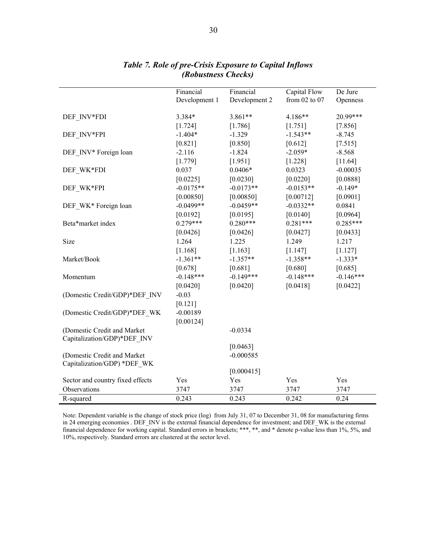|                                  | Financial<br>Development 1 | Financial<br>Development 2 | Capital Flow<br>from $02$ to $07$ | De Jure<br>Openness |
|----------------------------------|----------------------------|----------------------------|-----------------------------------|---------------------|
|                                  |                            |                            |                                   |                     |
| DEF INV*FDI                      | 3.384*                     | 3.861**                    | 4.186**                           | 20.99***            |
|                                  | [1.724]                    | [1.786]                    | [1.751]                           | [7.856]             |
| DEF_INV*FPI                      | $-1.404*$                  | $-1.329$                   | $-1.543**$                        | $-8.745$            |
|                                  | [0.821]                    | [0.850]                    | [0.612]                           | [7.515]             |
| DEF INV* Foreign loan            | $-2.116$                   | $-1.824$                   | $-2.059*$                         | $-8.568$            |
|                                  | [1.779]                    | [1.951]                    | $[1.228]$                         | [11.64]             |
| DEF WK*FDI                       | 0.037                      | $0.0406*$                  | 0.0323                            | $-0.00035$          |
|                                  | [0.0225]                   | [0.0230]                   | [0.0220]                          | [0.0888]            |
| DEF WK*FPI                       | $-0.0175**$                | $-0.0173**$                | $-0.0153**$                       | $-0.149*$           |
|                                  | [0.00850]                  | [0.00850]                  | [0.00712]                         | [0.0901]            |
| DEF WK* Foreign loan             | $-0.0499**$                | $-0.0459**$                | $-0.0332**$                       | 0.0841              |
|                                  | [0.0192]                   | [0.0195]                   | [0.0140]                          | [0.0964]            |
| Beta*market index                | $0.279***$                 | $0.280***$                 | $0.281***$                        | $0.285***$          |
|                                  | [0.0426]                   | [0.0426]                   | [0.0427]                          | [0.0433]            |
| Size                             | 1.264                      | 1.225                      | 1.249                             | 1.217               |
|                                  | [1.168]                    | [1.163]                    | [1.147]                           | [1.127]             |
| Market/Book                      | $-1.361**$                 | $-1.357**$                 | $-1.358**$                        | $-1.333*$           |
|                                  | [0.678]                    | [0.681]                    | [0.680]                           | [0.685]             |
| Momentum                         | $-0.148***$                | $-0.149***$                | $-0.148***$                       | $-0.146***$         |
|                                  | [0.0420]                   | [0.0420]                   | [0.0418]                          | [0.0422]            |
| (Domestic Credit/GDP)*DEF INV    | $-0.03$                    |                            |                                   |                     |
|                                  | [0.121]                    |                            |                                   |                     |
| (Domestic Credit/GDP)*DEF WK     | $-0.00189$                 |                            |                                   |                     |
|                                  | [0.00124]                  |                            |                                   |                     |
| (Domestic Credit and Market      |                            | $-0.0334$                  |                                   |                     |
| Capitalization/GDP)*DEF INV      |                            |                            |                                   |                     |
|                                  |                            | [0.0463]                   |                                   |                     |
| (Domestic Credit and Market      |                            | $-0.000585$                |                                   |                     |
| Capitalization/GDP) *DEF WK      |                            |                            |                                   |                     |
|                                  |                            | [0.000415]                 |                                   |                     |
| Sector and country fixed effects | Yes                        | Yes                        | Yes                               | Yes                 |
| Observations                     | 3747                       | 3747                       | 3747                              | 3747                |
| R-squared                        | 0.243                      | 0.243                      | 0.242                             | 0.24                |

#### *Table 7. Role of pre-Crisis Exposure to Capital Inflows (Robustness Checks)*

Note: Dependent variable is the change of stock price (log) from July 31, 07 to December 31, 08 for manufacturing firms in 24 emerging economies . DEF\_INV is the external financial dependence for investment; and DEF\_WK is the external financial dependence for working capital. Standard errors in brackets; \*\*\*, \*\*, and \* denote p-value less than 1%, 5%, and 10%, respectively. Standard errors are clustered at the sector level.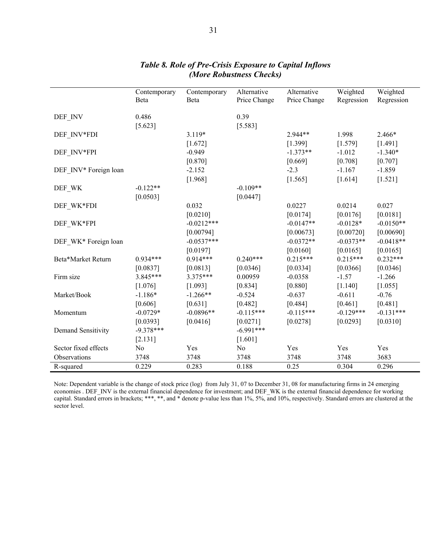|                           | Contemporary<br>Beta | Contemporary<br>Beta | Alternative<br>Price Change | Alternative<br>Price Change | Weighted<br>Regression | Weighted<br>Regression |
|---------------------------|----------------------|----------------------|-----------------------------|-----------------------------|------------------------|------------------------|
|                           |                      |                      |                             |                             |                        |                        |
| DEF INV                   | 0.486                |                      | 0.39                        |                             |                        |                        |
|                           | [5.623]              |                      | [5.583]                     |                             |                        |                        |
| DEF INV*FDI               |                      | 3.119*               |                             | $2.944**$                   | 1.998                  | 2.466*                 |
|                           |                      | [1.672]              |                             | [1.399]                     | [1.579]                | [1.491]                |
| DEF INV*FPI               |                      | $-0.949$             |                             | $-1.373**$                  | $-1.012$               | $-1.340*$              |
|                           |                      | [0.870]              |                             | [0.669]                     | [0.708]                | [0.707]                |
| DEF INV* Foreign loan     |                      | $-2.152$             |                             | $-2.3$                      | $-1.167$               | $-1.859$               |
|                           |                      | [1.968]              |                             | [1.565]                     | [1.614]                | [1.521]                |
| DEF WK                    | $-0.122**$           |                      | $-0.109**$                  |                             |                        |                        |
|                           | [0.0503]             |                      | [0.0447]                    |                             |                        |                        |
| DEF WK*FDI                |                      | 0.032                |                             | 0.0227                      | 0.0214                 | 0.027                  |
|                           |                      | [0.0210]             |                             | [0.0174]                    | [0.0176]               | [0.0181]               |
| DEF WK*FPI                |                      | $-0.0212***$         |                             | $-0.0147**$                 | $-0.0128*$             | $-0.0150**$            |
|                           |                      | [0.00794]            |                             | [0.00673]                   | [0.00720]              | [0.00690]              |
| DEF WK* Foreign loan      |                      | $-0.0537***$         |                             | $-0.0372**$                 | $-0.0373**$            | $-0.0418**$            |
|                           |                      | [0.0197]             |                             | [0.0160]                    | [0.0165]               | [0.0165]               |
| Beta*Market Return        | $0.934***$           | $0.914***$           | $0.240***$                  | $0.215***$                  | $0.215***$             | $0.232***$             |
|                           | [0.0837]             | [0.0813]             | [0.0346]                    | [0.0334]                    | [0.0366]               | [0.0346]               |
| Firm size                 | 3.845***             | $3.375***$           | 0.00959                     | $-0.0358$                   | $-1.57$                | $-1.266$               |
|                           | [1.076]              | [1.093]              | [0.834]                     | [0.880]                     | [1.140]                | [1.055]                |
| Market/Book               | $-1.186*$            | $-1.266**$           | $-0.524$                    | $-0.637$                    | $-0.611$               | $-0.76$                |
|                           | [0.606]              | [0.631]              | [0.482]                     | [0.484]                     | [0.461]                | [0.481]                |
| Momentum                  | $-0.0729*$           | $-0.0896**$          | $-0.115***$                 | $-0.115***$                 | $-0.129***$            | $-0.131***$            |
|                           | [0.0393]             | [0.0416]             | [0.0271]                    | [0.0278]                    | [0.0293]               | [0.0310]               |
| <b>Demand Sensitivity</b> | $-9.378***$          |                      | $-6.991***$                 |                             |                        |                        |
|                           | $[2.131]$            |                      | [1.601]                     |                             |                        |                        |
| Sector fixed effects      | N <sub>0</sub>       | Yes                  | N <sub>o</sub>              | Yes                         | Yes                    | Yes                    |
| Observations              | 3748                 | 3748                 | 3748                        | 3748                        | 3748                   | 3683                   |
| R-squared                 | 0.229                | 0.283                | 0.188                       | 0.25                        | 0.304                  | 0.296                  |

## *Table 8. Role of Pre-Crisis Exposure to Capital Inflows (More Robustness Checks)*

Note: Dependent variable is the change of stock price (log) from July 31, 07 to December 31, 08 for manufacturing firms in 24 emerging economies . DEF\_INV is the external financial dependence for investment; and DEF\_WK is the external financial dependence for working capital. Standard errors in brackets; \*\*\*, \*\*, and \* denote p-value less than 1%, 5%, and 10%, respectively. Standard errors are clustered at the sector level.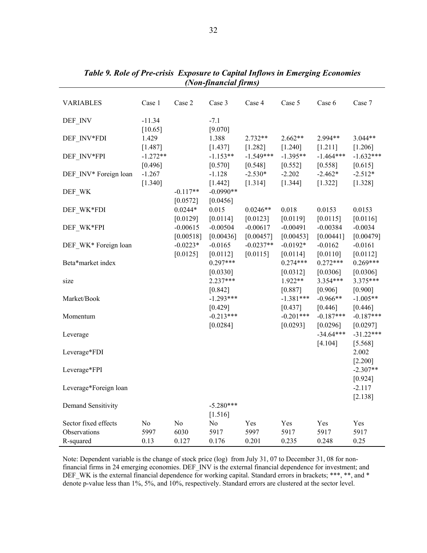| <b>VARIABLES</b>      | Case 1                | Case 2                  | Case 3                  | Case 4                  | Case 5                  | Case 6                  | Case 7                  |
|-----------------------|-----------------------|-------------------------|-------------------------|-------------------------|-------------------------|-------------------------|-------------------------|
| DEF INV               | $-11.34$<br>[10.65]   |                         | $-7.1$<br>[9.070]       |                         |                         |                         |                         |
| DEF INV*FDI           | 1.429<br>[1.487]      |                         | 1.388<br>[1.437]        | $2.732**$<br>[1.282]    | 2.662**<br>$[1.240]$    | 2.994**<br>$[1.211]$    | $3.044**$<br>$[1.206]$  |
| DEF INV*FPI           | $-1.272**$<br>[0.496] |                         | $-1.153**$<br>[0.570]   | $-1.549***$<br>[0.548]  | $-1.395**$<br>[0.552]   | $-1.464***$<br>[0.558]  | $-1.632***$<br>[0.615]  |
| DEF_INV* Foreign loan | $-1.267$<br>$[1.340]$ |                         | $-1.128$<br>[1.442]     | $-2.530*$<br>$[1.314]$  | $-2.202$<br>$[1.344]$   | $-2.462*$<br>$[1.322]$  | $-2.512*$<br>[1.328]    |
| DEF_WK                |                       | $-0.117**$<br>[0.0572]  | $-0.0990**$<br>[0.0456] |                         |                         |                         |                         |
| DEF_WK*FDI            |                       | $0.0244*$<br>[0.0129]   | 0.015<br>[0.0114]       | $0.0246**$<br>[0.0123]  | 0.018<br>[0.0119]       | 0.0153<br>[0.0115]      | 0.0153<br>[0.0116]      |
| DEF WK*FPI            |                       | $-0.00615$<br>[0.00518] | $-0.00504$<br>[0.00436] | $-0.00617$<br>[0.00457] | $-0.00491$<br>[0.00453] | $-0.00384$<br>[0.00441] | $-0.0034$<br>[0.00479]  |
| DEF WK* Foreign loan  |                       | $-0.0223*$<br>[0.0125]  | $-0.0165$<br>[0.0112]   | $-0.0237**$<br>[0.0115] | $-0.0192*$<br>[0.0114]  | $-0.0162$<br>[0.0110]   | $-0.0161$<br>[0.0112]   |
| Beta*market index     |                       |                         | $0.297***$<br>[0.0330]  |                         | $0.274***$<br>[0.0312]  | $0.272***$<br>[0.0306]  | $0.269***$<br>[0.0306]  |
| size                  |                       |                         | $2.237***$<br>[0.842]   |                         | 1.922**<br>[0.887]      | 3.354***<br>[0.906]     | 3.375***<br>[0.900]     |
| Market/Book           |                       |                         | $-1.293***$<br>[0.429]  |                         | $-1.381***$<br>[0.437]  | $-0.966**$<br>[0.446]   | $-1.005**$<br>[0.446]   |
| Momentum              |                       |                         | $-0.213***$<br>[0.0284] |                         | $-0.201***$<br>[0.0293] | $-0.187***$<br>[0.0296] | $-0.187***$<br>[0.0297] |
| Leverage              |                       |                         |                         |                         |                         | $-34.64***$<br>[4.104]  | $-31.22***$<br>[5.568]  |
| Leverage*FDI          |                       |                         |                         |                         |                         |                         | 2.002<br>[2.200]        |
| Leverage*FPI          |                       |                         |                         |                         |                         |                         | $-2.307**$<br>[0.924]   |
| Leverage*Foreign loan |                       |                         |                         |                         |                         |                         | $-2.117$<br>[2.138]     |
| Demand Sensitivity    |                       |                         | $-5.280***$<br>[1.516]  |                         |                         |                         |                         |
| Sector fixed effects  | No                    | No                      | No                      | Yes                     | Yes                     | Yes                     | Yes                     |
| Observations          | 5997                  | 6030                    | 5917                    | 5997                    | 5917                    | 5917                    | 5917                    |
| R-squared             | 0.13                  | 0.127                   | 0.176                   | 0.201                   | 0.235                   | 0.248                   | 0.25                    |

#### *Table 9. Role of Pre-crisis Exposure to Capital Inflows in Emerging Economies (Non-financial firms)*

Note: Dependent variable is the change of stock price (log) from July 31, 07 to December 31, 08 for nonfinancial firms in 24 emerging economies. DEF\_INV is the external financial dependence for investment; and DEF\_WK is the external financial dependence for working capital. Standard errors in brackets; \*\*\*, \*\*, and \* denote p-value less than 1%, 5%, and 10%, respectively. Standard errors are clustered at the sector level.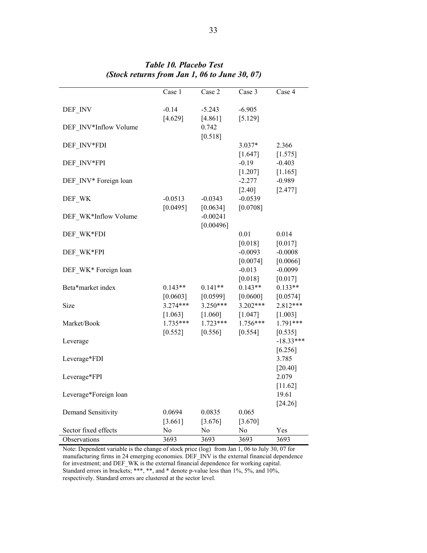|                       | Case 1                           | Case 2                              | Case 3                           | Case 4                           |
|-----------------------|----------------------------------|-------------------------------------|----------------------------------|----------------------------------|
| DEF INV               | $-0.14$                          | $-5.243$                            | $-6.905$                         |                                  |
| DEF INV*Inflow Volume | [4.629]                          | [4.861]<br>0.742<br>[0.518]         | [5.129]                          |                                  |
| DEF INV*FDI           |                                  |                                     | $3.037*$                         | 2.366                            |
| DEF INV*FPI           |                                  |                                     | [1.647]<br>$-0.19$<br>[1.207]    | [1.575]<br>$-0.403$<br>[1.165]   |
| DEF INV* Foreign loan |                                  |                                     | $-2.277$<br>$[2.40]$             | $-0.989$<br>[2.477]              |
| DEF WK                | $-0.0513$                        | $-0.0343$                           | $-0.0539$                        |                                  |
| DEF WK*Inflow Volume  | [0.0495]                         | [0.0634]<br>$-0.00241$<br>[0.00496] | [0.0708]                         |                                  |
| DEF WK*FDI            |                                  |                                     | 0.01                             | 0.014                            |
| DEF WK*FPI            |                                  |                                     | [0.018]<br>$-0.0093$<br>[0.0074] | [0.017]<br>$-0.0008$<br>[0.0066] |
| DEF WK* Foreign loan  |                                  |                                     | $-0.013$                         | $-0.0099$                        |
| Beta*market index     | $0.143**$<br>[0.0603]            | $0.141**$<br>[0.0599]               | [0.018]<br>$0.143**$<br>[0.0600] | [0.017]<br>$0.133**$<br>[0.0574] |
| Size                  | $3.274***$                       | $3.250***$                          | 3.202***                         | 2.812***                         |
| Market/Book           | [1.063]<br>$1.735***$<br>[0.552] | [1.060]<br>$1.723***$<br>[0.556]    | [1.047]<br>$1.756***$<br>[0.554] | [1.003]<br>1.791***<br>[0.535]   |
| Leverage              |                                  |                                     |                                  | $-18.33***$<br>$[6.256]$         |
| Leverage*FDI          |                                  |                                     |                                  | 3.785                            |
| Leverage*FPI          |                                  |                                     |                                  | [20.40]<br>2.079                 |
| Leverage*Foreign loan |                                  |                                     |                                  | [11.62]<br>19.61<br>[24.26]      |
| Demand Sensitivity    | 0.0694                           | 0.0835                              | 0.065                            |                                  |
| Sector fixed effects  | [3.661]<br>No                    | [3.676]<br>No                       | [3.670]<br>No                    | Yes                              |
| Observations          | 3693                             | 3693                                | 3693                             | 3693                             |

#### *Table 10. Placebo Test (Stock returns from Jan 1, 06 to June 30, 07)*

Note: Dependent variable is the change of stock price (log) from Jan 1, 06 to July 30, 07 for manufacturing firms in 24 emerging economies. DEF\_INV is the external financial dependence for investment; and DEF\_WK is the external financial dependence for working capital. Standard errors in brackets; \*\*\*, \*\*, and \* denote p-value less than 1%, 5%, and 10%, respectively. Standard errors are clustered at the sector level.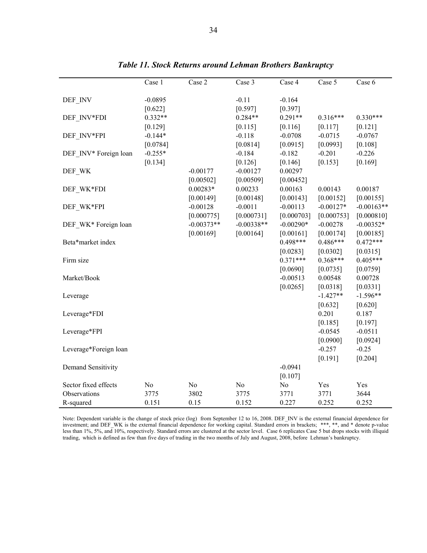|                       | Case 1    | Case 2       | Case 3       | Case 4         | Case 5      | Case 6       |
|-----------------------|-----------|--------------|--------------|----------------|-------------|--------------|
|                       |           |              |              |                |             |              |
| DEF INV               | $-0.0895$ |              | $-0.11$      | $-0.164$       |             |              |
|                       | [0.622]   |              | [0.597]      | [0.397]        |             |              |
| DEF INV*FDI           | $0.332**$ |              | $0.284**$    | $0.291**$      | $0.316***$  | $0.330***$   |
|                       | [0.129]   |              | [0.115]      | [0.116]        | [0.117]     | [0.121]      |
| DEF INV*FPI           | $-0.144*$ |              | $-0.118$     | $-0.0708$      | $-0.0715$   | $-0.0767$    |
|                       | [0.0784]  |              | [0.0814]     | [0.0915]       | [0.0993]    | [0.108]      |
| DEF INV* Foreign loan | $-0.255*$ |              | $-0.184$     | $-0.182$       | $-0.201$    | $-0.226$     |
|                       | [0.134]   |              | [0.126]      | [0.146]        | [0.153]     | [0.169]      |
| DEF WK                |           | $-0.00177$   | $-0.00127$   | 0.00297        |             |              |
|                       |           | [0.00502]    | [0.00509]    | [0.00452]      |             |              |
| DEF WK*FDI            |           | $0.00283*$   | 0.00233      | 0.00163        | 0.00143     | 0.00187      |
|                       |           | [0.00149]    | [0.00148]    | [0.00143]      | [0.00152]   | [0.00155]    |
| DEF WK*FPI            |           | $-0.00128$   | $-0.0011$    | $-0.00113$     | $-0.00127*$ | $-0.00163**$ |
|                       |           | [0.000775]   | [0.000731]   | [0.000703]     | [0.000753]  | [0.000810]   |
| DEF WK* Foreign loan  |           | $-0.00373**$ | $-0.00338**$ | $-0.00290*$    | $-0.00278$  | $-0.00352*$  |
|                       |           | [0.00169]    | [0.00164]    | [0.00161]      | [0.00174]   | [0.00185]    |
| Beta*market index     |           |              |              | 0.498***       | $0.486***$  | $0.472***$   |
|                       |           |              |              | [0.0283]       | [0.0302]    | [0.0315]     |
| Firm size             |           |              |              | $0.371***$     | $0.368***$  | $0.405***$   |
|                       |           |              |              | [0.0690]       | [0.0735]    | [0.0759]     |
| Market/Book           |           |              |              | $-0.00513$     | 0.00548     | 0.00728      |
|                       |           |              |              | [0.0265]       | [0.0318]    | [0.0331]     |
| Leverage              |           |              |              |                | $-1.427**$  | $-1.596**$   |
|                       |           |              |              |                | [0.632]     | [0.620]      |
| Leverage*FDI          |           |              |              |                | 0.201       | 0.187        |
|                       |           |              |              |                | [0.185]     | [0.197]      |
| Leverage*FPI          |           |              |              |                | $-0.0545$   | $-0.0511$    |
|                       |           |              |              |                | [0.0900]    | [0.0924]     |
| Leverage*Foreign loan |           |              |              |                | $-0.257$    | $-0.25$      |
|                       |           |              |              |                | [0.191]     | [0.204]      |
| Demand Sensitivity    |           |              |              | $-0.0941$      |             |              |
|                       |           |              |              | [0.107]        |             |              |
| Sector fixed effects  | No        | No           | No           | N <sub>0</sub> | Yes         | Yes          |
| Observations          | 3775      | 3802         | 3775         | 3771           | 3771        | 3644         |
| R-squared             | 0.151     | 0.15         | 0.152        | 0.227          | 0.252       | 0.252        |

*Table 11. Stock Returns around Lehman Brothers Bankruptcy* 

Note: Dependent variable is the change of stock price (log) from September 12 to 16, 2008. DEF\_INV is the external financial dependence for investment; and DEF\_WK is the external financial dependence for working capital. Standard errors in brackets; \*\*\*, \*\*, and \* denote p-value less than 1%, 5%, and 10%, respectively. Standard errors are clustered at the sector level. Case 6 replicates Case 5 but drops stocks with illiquid trading, which is defined as few than five days of trading in the two months of July and August, 2008, before Lehman's bankruptcy.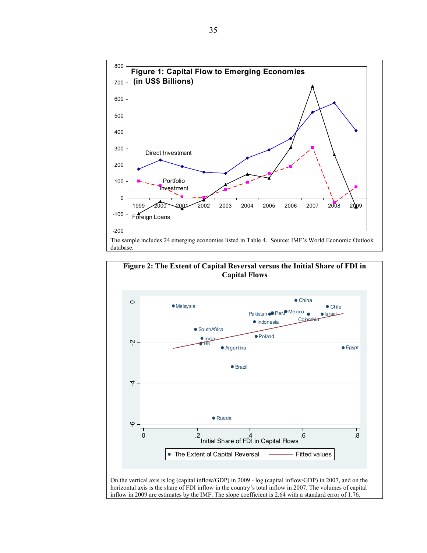

The sample includes 24 emerging economies listed in Table 4. Source: IMF's World Economic Outlook database.



On the vertical axis is log (capital inflow/GDP) in 2009 - log (capital inflow/GDP) in 2007, and on the horizontal axis is the share of FDI inflow in the country's total inflow in 2007. The volumes of capital inflow in 2009 are estimates by the IMF. The slope coefficient is 2.64 with a standard error of 1.76.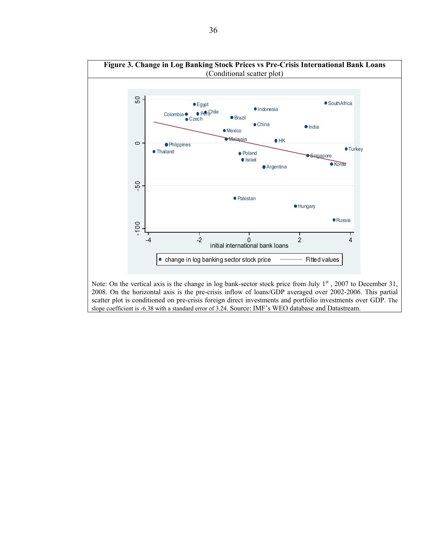

2008. On the horizontal axis is the pre-crisis inflow of loans/GDP averaged over 2002-2006. This partial scatter plot is conditioned on pre-crisis foreign direct investments and portfolio investments over GDP. The slope coefficient is -6.38 with a standard error of 3.24. Source: IMF's WEO database and Datastream.